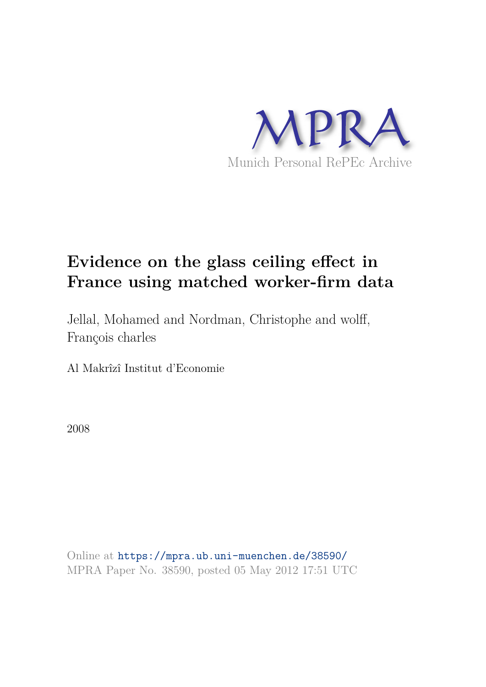

# **Evidence on the glass ceiling effect in France using matched worker-firm data**

Jellal, Mohamed and Nordman, Christophe and wolff, François charles

Al Makrîzî Institut d'Economie

2008

Online at https://mpra.ub.uni-muenchen.de/38590/ MPRA Paper No. 38590, posted 05 May 2012 17:51 UTC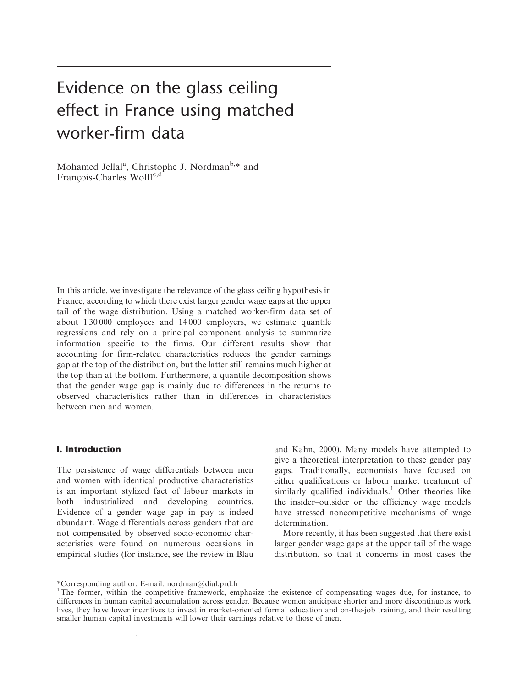# Evidence on the glass ceiling effect in France using matched worker-firm data

Mohamed Jellal<sup>a</sup>, Christophe J. Nordman<sup>b,\*</sup> and François-Charles Wolff<sup>c,d</sup>

In this article, we investigate the relevance of the glass ceiling hypothesis in France, according to which there exist larger gender wage gaps at the upper tail of the wage distribution. Using a matched worker-firm data set of about 1 30 000 employees and 14 000 employers, we estimate quantile regressions and rely on a principal component analysis to summarize information specific to the firms. Our different results show that accounting for firm-related characteristics reduces the gender earnings gap at the top of the distribution, but the latter still remains much higher at the top than at the bottom. Furthermore, a quantile decomposition shows that the gender wage gap is mainly due to differences in the returns to observed characteristics rather than in differences in characteristics between men and women.

#### I. Introduction

The persistence of wage differentials between men and women with identical productive characteristics is an important stylized fact of labour markets in both industrialized and developing countries. Evidence of a gender wage gap in pay is indeed abundant. Wage differentials across genders that are not compensated by observed socio-economic characteristics were found on numerous occasions in empirical studies (for instance, see the review in Blau

and Kahn, 2000). Many models have attempted to give a theoretical interpretation to these gender pay gaps. Traditionally, economists have focused on either qualifications or labour market treatment of similarly qualified individuals.<sup>1</sup> Other theories like the insider–outsider or the efficiency wage models have stressed noncompetitive mechanisms of wage determination.

More recently, it has been suggested that there exist larger gender wage gaps at the upper tail of the wage distribution, so that it concerns in most cases the

 $\mathbf{A}$ 

<sup>\*</sup>Corresponding author. E-mail: nordman@dial.prd.fr

<sup>&</sup>lt;sup>1</sup>The former, within the competitive framework, emphasize the existence of compensating wages due, for instance, to differences in human capital accumulation across gender. Because women anticipate shorter and more discontinuous work lives, they have lower incentives to invest in market-oriented formal education and on-the-job training, and their resulting smaller human capital investments will lower their earnings relative to those of men.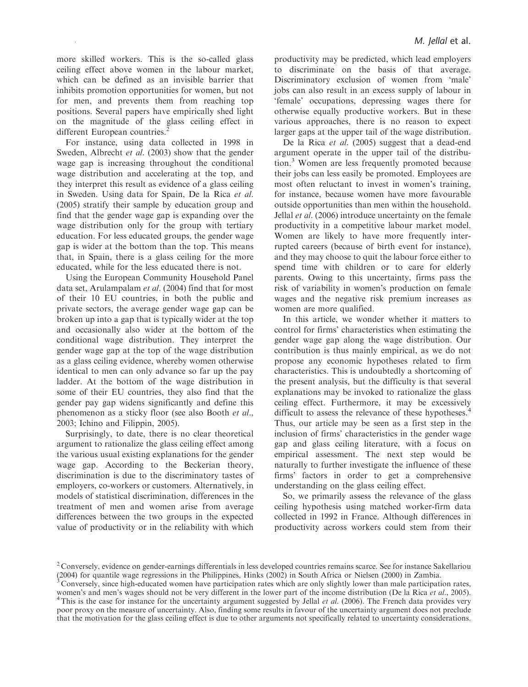more skilled workers. This is the so-called glass ceiling effect above women in the labour market, which can be defined as an invisible barrier that inhibits promotion opportunities for women, but not for men, and prevents them from reaching top positions. Several papers have empirically shed light on the magnitude of the glass ceiling effect in different European countries.<sup>2</sup>

For instance, using data collected in 1998 in Sweden, Albrecht *et al.* (2003) show that the gender wage gap is increasing throughout the conditional wage distribution and accelerating at the top, and they interpret this result as evidence of a glass ceiling in Sweden. Using data for Spain, De la Rica et al. (2005) stratify their sample by education group and find that the gender wage gap is expanding over the wage distribution only for the group with tertiary education. For less educated groups, the gender wage gap is wider at the bottom than the top. This means that, in Spain, there is a glass ceiling for the more educated, while for the less educated there is not.

Using the European Community Household Panel data set, Arulampalam et al. (2004) find that for most of their 10 EU countries, in both the public and private sectors, the average gender wage gap can be broken up into a gap that is typically wider at the top and occasionally also wider at the bottom of the conditional wage distribution. They interpret the gender wage gap at the top of the wage distribution as a glass ceiling evidence, whereby women otherwise identical to men can only advance so far up the pay ladder. At the bottom of the wage distribution in some of their EU countries, they also find that the gender pay gap widens significantly and define this phenomenon as a sticky floor (see also Booth et al., 2003; Ichino and Filippin, 2005).

Surprisingly, to date, there is no clear theoretical argument to rationalize the glass ceiling effect among the various usual existing explanations for the gender wage gap. According to the Beckerian theory, discrimination is due to the discriminatory tastes of employers, co-workers or customers. Alternatively, in models of statistical discrimination, differences in the treatment of men and women arise from average differences between the two groups in the expected value of productivity or in the reliability with which

productivity may be predicted, which lead employers to discriminate on the basis of that average. Discriminatory exclusion of women from 'male' jobs can also result in an excess supply of labour in 'female' occupations, depressing wages there for otherwise equally productive workers. But in these various approaches, there is no reason to expect larger gaps at the upper tail of the wage distribution.

De la Rica *et al.* (2005) suggest that a dead-end argument operate in the upper tail of the distribution.<sup>3</sup> Women are less frequently promoted because their jobs can less easily be promoted. Employees are most often reluctant to invest in women's training, for instance, because women have more favourable outside opportunities than men within the household. Jellal *et al.* (2006) introduce uncertainty on the female productivity in a competitive labour market model. Women are likely to have more frequently interrupted careers (because of birth event for instance), and they may choose to quit the labour force either to spend time with children or to care for elderly parents. Owing to this uncertainty, firms pass the risk of variability in women's production on female wages and the negative risk premium increases as women are more qualified.

In this article, we wonder whether it matters to control for firms' characteristics when estimating the gender wage gap along the wage distribution. Our contribution is thus mainly empirical, as we do not propose any economic hypotheses related to firm characteristics. This is undoubtedly a shortcoming of the present analysis, but the difficulty is that several explanations may be invoked to rationalize the glass ceiling effect. Furthermore, it may be excessively difficult to assess the relevance of these hypotheses.<sup>4</sup> Thus, our article may be seen as a first step in the inclusion of firms' characteristics in the gender wage gap and glass ceiling literature, with a focus on empirical assessment. The next step would be naturally to further investigate the influence of these firms' factors in order to get a comprehensive understanding on the glass ceiling effect.

So, we primarily assess the relevance of the glass ceiling hypothesis using matched worker-firm data collected in 1992 in France. Although differences in productivity across workers could stem from their

<sup>&</sup>lt;sup>2</sup> Conversely, evidence on gender-earnings differentials in less developed countries remains scarce. See for instance Sakellariou (2004) for quantile wage regressions in the Philippines, Hinks (2002) in South Africa or Nielsen (2000) in Zambia.

<sup>3</sup> Conversely, since high-educated women have participation rates which are only slightly lower than male participation rates, women's and men's wages should not be very different in the lower part of the income distribution (De la Rica et al., 2005). <sup>4</sup>This is the case for instance for the uncertainty argument suggested by Jellal et al. (2006). The French data provides very poor proxy on the measure of uncertainty. Also, finding some results in favour of the uncertainty argument does not preclude that the motivation for the glass ceiling effect is due to other arguments not specifically related to uncertainty considerations.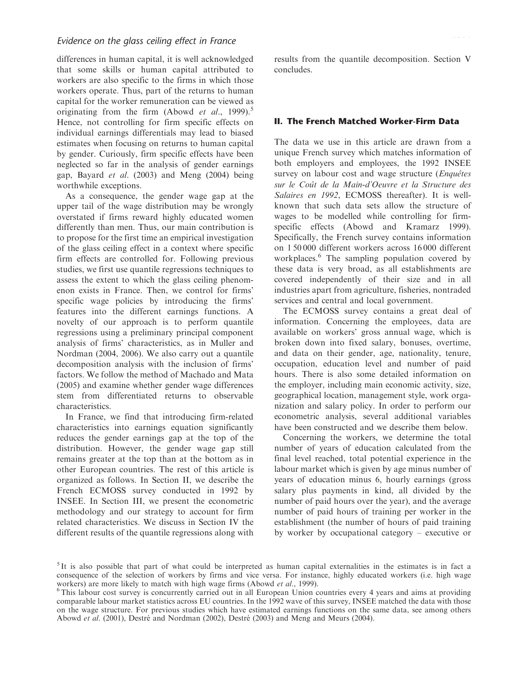differences in human capital, it is well acknowledged that some skills or human capital attributed to workers are also specific to the firms in which those workers operate. Thus, part of the returns to human capital for the worker remuneration can be viewed as originating from the firm (Abowd *et al.*, 1999).<sup>5</sup> Hence, not controlling for firm specific effects on individual earnings differentials may lead to biased estimates when focusing on returns to human capital by gender. Curiously, firm specific effects have been neglected so far in the analysis of gender earnings gap, Bayard et al. (2003) and Meng (2004) being worthwhile exceptions.

As a consequence, the gender wage gap at the upper tail of the wage distribution may be wrongly overstated if firms reward highly educated women differently than men. Thus, our main contribution is to propose for the first time an empirical investigation of the glass ceiling effect in a context where specific firm effects are controlled for. Following previous studies, we first use quantile regressions techniques to assess the extent to which the glass ceiling phenomenon exists in France. Then, we control for firms' specific wage policies by introducing the firms' features into the different earnings functions. A novelty of our approach is to perform quantile regressions using a preliminary principal component analysis of firms' characteristics, as in Muller and Nordman (2004, 2006). We also carry out a quantile decomposition analysis with the inclusion of firms' factors. We follow the method of Machado and Mata (2005) and examine whether gender wage differences stem from differentiated returns to observable characteristics.

In France, we find that introducing firm-related characteristics into earnings equation significantly reduces the gender earnings gap at the top of the distribution. However, the gender wage gap still remains greater at the top than at the bottom as in other European countries. The rest of this article is organized as follows. In Section II, we describe the French ECMOSS survey conducted in 1992 by INSEE. In Section III, we present the econometric methodology and our strategy to account for firm related characteristics. We discuss in Section IV the different results of the quantile regressions along with

results from the quantile decomposition. Section V concludes.

#### II. The French Matched Worker-Firm Data

The data we use in this article are drawn from a unique French survey which matches information of both employers and employees, the 1992 INSEE survey on labour cost and wage structure (*Enquêtes* sur le Coût de la Main-d'Oeuvre et la Structure des Salaires en 1992, ECMOSS thereafter). It is wellknown that such data sets allow the structure of wages to be modelled while controlling for firmspecific effects (Abowd and Kramarz 1999). Specifically, the French survey contains information on 1 50 000 different workers across 16 000 different workplaces.<sup>6</sup> The sampling population covered by these data is very broad, as all establishments are covered independently of their size and in all industries apart from agriculture, fisheries, nontraded services and central and local government.

The ECMOSS survey contains a great deal of information. Concerning the employees, data are available on workers' gross annual wage, which is broken down into fixed salary, bonuses, overtime, and data on their gender, age, nationality, tenure, occupation, education level and number of paid hours. There is also some detailed information on the employer, including main economic activity, size, geographical location, management style, work organization and salary policy. In order to perform our econometric analysis, several additional variables have been constructed and we describe them below.

Concerning the workers, we determine the total number of years of education calculated from the final level reached, total potential experience in the labour market which is given by age minus number of years of education minus 6, hourly earnings (gross salary plus payments in kind, all divided by the number of paid hours over the year), and the average number of paid hours of training per worker in the establishment (the number of hours of paid training by worker by occupational category – executive or

<sup>&</sup>lt;sup>5</sup>It is also possible that part of what could be interpreted as human capital externalities in the estimates is in fact a consequence of the selection of workers by firms and vice versa. For instance, highly educated workers (i.e. high wage workers) are more likely to match with high wage firms (Abowd *et al.*, 1999).

<sup>&</sup>lt;sup>6</sup>This labour cost survey is concurrently carried out in all European Union countries every 4 years and aims at providing comparable labour market statistics across EU countries. In the 1992 wave of this survey, INSEE matched the data with those on the wage structure. For previous studies which have estimated earnings functions on the same data, see among others Abowd et al. (2001), Destré and Nordman (2002), Destré (2003) and Meng and Meurs (2004).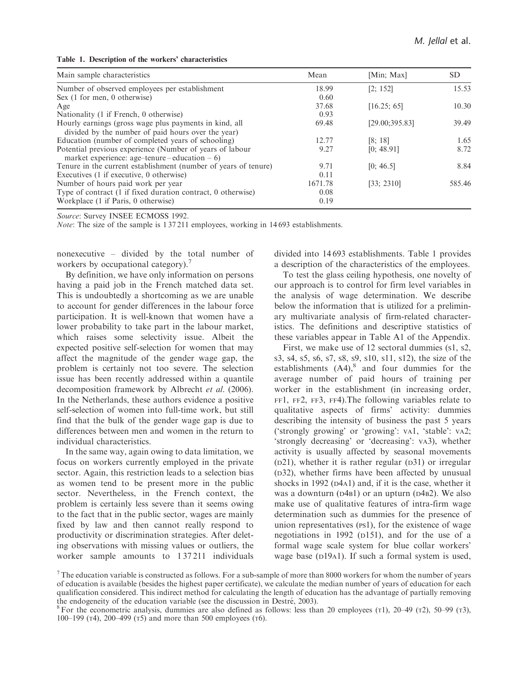|  |  |  |  |  |  | Table 1. Description of the workers' characteristics |
|--|--|--|--|--|--|------------------------------------------------------|
|--|--|--|--|--|--|------------------------------------------------------|

| Main sample characteristics                                                                                  | Mean    | [Min; Max]      | SD.    |
|--------------------------------------------------------------------------------------------------------------|---------|-----------------|--------|
| Number of observed employees per establishment                                                               | 18.99   | [2; 152]        | 15.53  |
| Sex (1 for men, 0 otherwise)                                                                                 | 0.60    |                 |        |
| Age                                                                                                          | 37.68   | [16.25; 65]     | 10.30  |
| Nationality (1 if French, 0 otherwise)                                                                       | 0.93    |                 |        |
| Hourly earnings (gross wage plus payments in kind, all<br>divided by the number of paid hours over the year) | 69.48   | [29.00; 395.83] | 39.49  |
| Education (number of completed years of schooling)                                                           | 12.77   | [8; 18]         | 1.65   |
| Potential previous experience (Number of years of labour<br>market experience: age-tenure – education – 6)   | 9.27    | [0; 48.91]      | 8.72   |
| Tenure in the current establishment (number of years of tenure)                                              | 9.71    | [0; 46.5]       | 8.84   |
| Executives (1 if executive, 0 otherwise)                                                                     | 0.11    |                 |        |
| Number of hours paid work per year                                                                           | 1671.78 | [33; 2310]      | 585.46 |
| Type of contract (1 if fixed duration contract, 0 otherwise)                                                 | 0.08    |                 |        |
| Workplace (1 if Paris, 0 otherwise)                                                                          | 0.19    |                 |        |

Note: The size of the sample is 1 37 211 employees, working in 14 693 establishments.

nonexecutive – divided by the total number of workers by occupational category).<sup>7</sup>

By definition, we have only information on persons having a paid job in the French matched data set. This is undoubtedly a shortcoming as we are unable to account for gender differences in the labour force participation. It is well-known that women have a lower probability to take part in the labour market, which raises some selectivity issue. Albeit the expected positive self-selection for women that may affect the magnitude of the gender wage gap, the problem is certainly not too severe. The selection issue has been recently addressed within a quantile decomposition framework by Albrecht et al. (2006). In the Netherlands, these authors evidence a positive self-selection of women into full-time work, but still find that the bulk of the gender wage gap is due to differences between men and women in the return to individual characteristics.

In the same way, again owing to data limitation, we focus on workers currently employed in the private sector. Again, this restriction leads to a selection bias as women tend to be present more in the public sector. Nevertheless, in the French context, the problem is certainly less severe than it seems owing to the fact that in the public sector, wages are mainly fixed by law and then cannot really respond to productivity or discrimination strategies. After deleting observations with missing values or outliers, the worker sample amounts to 137211 individuals divided into 14 693 establishments. Table 1 provides a description of the characteristics of the employees.

To test the glass ceiling hypothesis, one novelty of our approach is to control for firm level variables in the analysis of wage determination. We describe below the information that is utilized for a preliminary multivariate analysis of firm-related characteristics. The definitions and descriptive statistics of these variables appear in Table A1 of the Appendix.

First, we make use of 12 sectoral dummies (S1, <sup>S</sup>2, <sup>S</sup>3, <sup>S</sup>4, <sup>S</sup>5, <sup>S</sup>6, <sup>S</sup>7, <sup>S</sup>8, <sup>S</sup>9, <sup>S</sup>10, <sup>S</sup>11, <sup>S</sup>12), the size of the establishments  $(A4)$ ,<sup>8</sup> and four dummies for the average number of paid hours of training per worker in the establishment (in increasing order, FF1, FF2, FF3, FF4).The following variables relate to qualitative aspects of firms' activity: dummies describing the intensity of business the past 5 years ('strongly growing' or 'growing': VA1, 'stable': VA2; 'strongly decreasing' or 'decreasing': VA3), whether activity is usually affected by seasonal movements  $(D21)$ , whether it is rather regular  $(D31)$  or irregular (D32), whether firms have been affected by unusual shocks in 1992 ( $D4A1$ ) and, if it is the case, whether it was a downturn (D4B1) or an upturn (D4B2). We also make use of qualitative features of intra-firm wage determination such as dummies for the presence of union representatives (PS1), for the existence of wage negotiations in 1992 (D151), and for the use of a formal wage scale system for blue collar workers' wage base (D19A1). If such a formal system is used,

 $<sup>7</sup>$  The education variable is constructed as follows. For a sub-sample of more than 8000 workers for whom the number of years</sup> of education is available (besides the highest paper certificate), we calculate the median number of years of education for each qualification considered. This indirect method for calculating the length of education has the advantage of partially removing the endogeneity of the education variable (see the discussion in Destré, 2003).

<sup>&</sup>lt;sup>8</sup> For the econometric analysis, dummies are also defined as follows: less than 20 employees ( $\tau$ 1), 20–49 ( $\tau$ 2), 50–99 ( $\tau$ 3), 100–199 (T4), 200–499 (T5) and more than 500 employees (T6).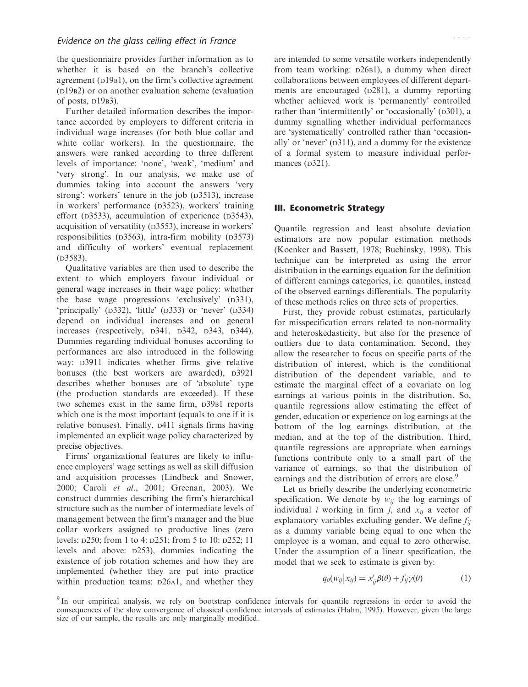the questionnaire provides further information as to whether it is based on the branch's collective agreement (D19B1), on the firm's collective agreement (D19B2) or on another evaluation scheme (evaluation of posts,  $D19B3$ ).

Further detailed information describes the importance accorded by employers to different criteria in individual wage increases (for both blue collar and white collar workers). In the questionnaire, the answers were ranked according to three different levels of importance: 'none', 'weak', 'medium' and 'very strong'. In our analysis, we make use of dummies taking into account the answers 'very strong': workers' tenure in the job (D3513), increase in workers' performance (D3523), workers' training effort ( $D3533$ ), accumulation of experience ( $D3543$ ), acquisition of versatility (D3553), increase in workers' responsibilities (D3563), intra-firm mobility (D3573) and difficulty of workers' eventual replacement (D3583).

Qualitative variables are then used to describe the extent to which employers favour individual or general wage increases in their wage policy: whether the base wage progressions 'exclusively' (D331), 'principally' (D332), 'little' (D333) or 'never' (D334) depend on individual increases and on general increases (respectively, <sup>D</sup>341, <sup>D</sup>342, <sup>D</sup>343, <sup>D</sup>344). Dummies regarding individual bonuses according to performances are also introduced in the following way:  $D3911$  indicates whether firms give relative bonuses (the best workers are awarded),  $D3921$ describes whether bonuses are of 'absolute' type (the production standards are exceeded). If these two schemes exist in the same firm, <sup>D</sup>39B1 reports which one is the most important (equals to one if it is relative bonuses). Finally, <sup>D</sup>411 signals firms having implemented an explicit wage policy characterized by precise objectives.

Firms' organizational features are likely to influence employers' wage settings as well as skill diffusion and acquisition processes (Lindbeck and Snower, 2000; Caroli et al., 2001; Greenan, 2003). We construct dummies describing the firm's hierarchical structure such as the number of intermediate levels of management between the firm's manager and the blue collar workers assigned to productive lines (zero levels: <sup>D</sup>250; from 1 to 4: <sup>D</sup>251; from 5 to 10: <sup>D</sup>252; 11 levels and above: <sup>D</sup>253), dummies indicating the existence of job rotation schemes and how they are implemented (whether they are put into practice within production teams:  $D26A1$ , and whether they are intended to some versatile workers independently from team working: <sup>D</sup>26B1), a dummy when direct collaborations between employees of different departments are encouraged (D281), a dummy reporting whether achieved work is 'permanently' controlled rather than 'intermittently' or 'occasionally' (D301), a dummy signalling whether individual performances are 'systematically' controlled rather than 'occasionally' or 'never' (D311), and a dummy for the existence of a formal system to measure individual performances  $(D321)$ .

#### III. Econometric Strategy

Quantile regression and least absolute deviation estimators are now popular estimation methods (Koenker and Bassett, 1978; Buchinsky, 1998). This technique can be interpreted as using the error distribution in the earnings equation for the definition of different earnings categories, i.e. quantiles, instead of the observed earnings differentials. The popularity of these methods relies on three sets of properties.

First, they provide robust estimates, particularly for misspecification errors related to non-normality and heteroskedasticity, but also for the presence of outliers due to data contamination. Second, they allow the researcher to focus on specific parts of the distribution of interest, which is the conditional distribution of the dependent variable, and to estimate the marginal effect of a covariate on log earnings at various points in the distribution. So, quantile regressions allow estimating the effect of gender, education or experience on log earnings at the bottom of the log earnings distribution, at the median, and at the top of the distribution. Third, quantile regressions are appropriate when earnings functions contribute only to a small part of the variance of earnings, so that the distribution of earnings and the distribution of errors are close.<sup>9</sup>

Let us briefly describe the underlying econometric specification. We denote by  $w_{ij}$  the log earnings of individual *i* working in firm *j*, and  $x_{ij}$  a vector of explanatory variables excluding gender. We define  $f_{ij}$ as a dummy variable being equal to one when the employee is a woman, and equal to zero otherwise. Under the assumption of a linear specification, the model that we seek to estimate is given by:

$$
q_{\theta}(w_{ij}|x_{ij}) = x'_{ij}\beta(\theta) + f_{ij}\gamma(\theta)
$$
 (1)

<sup>&</sup>lt;sup>9</sup> In our empirical analysis, we rely on bootstrap confidence intervals for quantile regressions in order to avoid the consequences of the slow convergence of classical confidence intervals of estimates (Hahn, 1995). However, given the large size of our sample, the results are only marginally modified.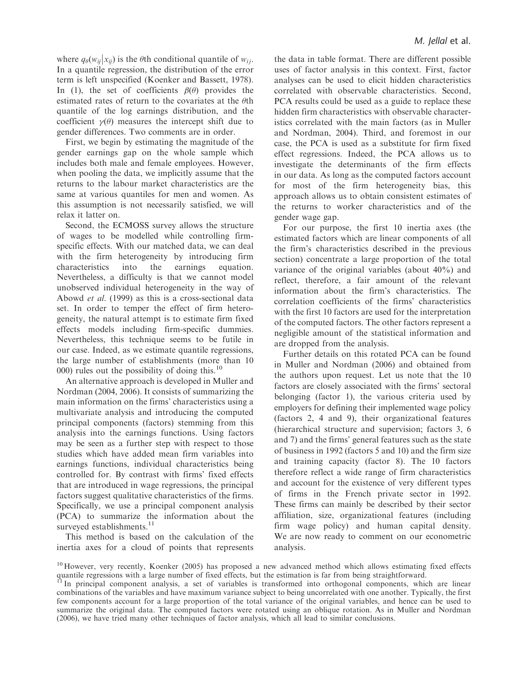where  $q_{\theta}(w_{ij} | x_{ij})$  is the  $\theta$ th conditional quantile of  $w_{ij}$ . In a quantile regression, the distribution of the error term is left unspecified (Koenker and Bassett, 1978). In (1), the set of coefficients  $\beta(\theta)$  provides the estimated rates of return to the covariates at the  $\theta$ th quantile of the log earnings distribution, and the coefficient  $\gamma(\theta)$  measures the intercept shift due to gender differences. Two comments are in order.

First, we begin by estimating the magnitude of the gender earnings gap on the whole sample which includes both male and female employees. However, when pooling the data, we implicitly assume that the returns to the labour market characteristics are the same at various quantiles for men and women. As this assumption is not necessarily satisfied, we will relax it latter on.

Second, the ECMOSS survey allows the structure of wages to be modelled while controlling firmspecific effects. With our matched data, we can deal with the firm heterogeneity by introducing firm characteristics into the earnings equation. Nevertheless, a difficulty is that we cannot model unobserved individual heterogeneity in the way of Abowd et al. (1999) as this is a cross-sectional data set. In order to temper the effect of firm heterogeneity, the natural attempt is to estimate firm fixed effects models including firm-specific dummies. Nevertheless, this technique seems to be futile in our case. Indeed, as we estimate quantile regressions, the large number of establishments (more than 10 000) rules out the possibility of doing this.<sup>10</sup>

An alternative approach is developed in Muller and Nordman (2004, 2006). It consists of summarizing the main information on the firms' characteristics using a multivariate analysis and introducing the computed principal components (factors) stemming from this analysis into the earnings functions. Using factors may be seen as a further step with respect to those studies which have added mean firm variables into earnings functions, individual characteristics being controlled for. By contrast with firms' fixed effects that are introduced in wage regressions, the principal factors suggest qualitative characteristics of the firms. Specifically, we use a principal component analysis (PCA) to summarize the information about the surveyed establishments.<sup>11</sup>

This method is based on the calculation of the inertia axes for a cloud of points that represents the data in table format. There are different possible uses of factor analysis in this context. First, factor analyses can be used to elicit hidden characteristics correlated with observable characteristics. Second, PCA results could be used as a guide to replace these hidden firm characteristics with observable characteristics correlated with the main factors (as in Muller and Nordman, 2004). Third, and foremost in our case, the PCA is used as a substitute for firm fixed effect regressions. Indeed, the PCA allows us to investigate the determinants of the firm effects in our data. As long as the computed factors account for most of the firm heterogeneity bias, this approach allows us to obtain consistent estimates of the returns to worker characteristics and of the gender wage gap.

For our purpose, the first 10 inertia axes (the estimated factors which are linear components of all the firm's characteristics described in the previous section) concentrate a large proportion of the total variance of the original variables (about 40%) and reflect, therefore, a fair amount of the relevant information about the firm's characteristics. The correlation coefficients of the firms' characteristics with the first 10 factors are used for the interpretation of the computed factors. The other factors represent a negligible amount of the statistical information and are dropped from the analysis.

Further details on this rotated PCA can be found in Muller and Nordman (2006) and obtained from the authors upon request. Let us note that the 10 factors are closely associated with the firms' sectoral belonging (factor 1), the various criteria used by employers for defining their implemented wage policy (factors 2, 4 and 9), their organizational features (hierarchical structure and supervision; factors 3, 6 and 7) and the firms' general features such as the state of business in 1992 (factors 5 and 10) and the firm size and training capacity (factor 8). The 10 factors therefore reflect a wide range of firm characteristics and account for the existence of very different types of firms in the French private sector in 1992. These firms can mainly be described by their sector affiliation, size, organizational features (including firm wage policy) and human capital density. We are now ready to comment on our econometric analysis.

 $10$  However, very recently, Koenker (2005) has proposed a new advanced method which allows estimating fixed effects quantile regressions with a large number of fixed effects, but the estimation is far from being straightforward.<br><sup>11</sup> In principal component analysis, a set of

<sup>11</sup> In principal component analysis, a set of variables is transformed into orthogonal components, which are linear combinations of the variables and have maximum variance subject to being uncorrelated with one another. Typically, the first few components account for a large proportion of the total variance of the original variables, and hence can be used to summarize the original data. The computed factors were rotated using an oblique rotation. As in Muller and Nordman (2006), we have tried many other techniques of factor analysis, which all lead to similar conclusions.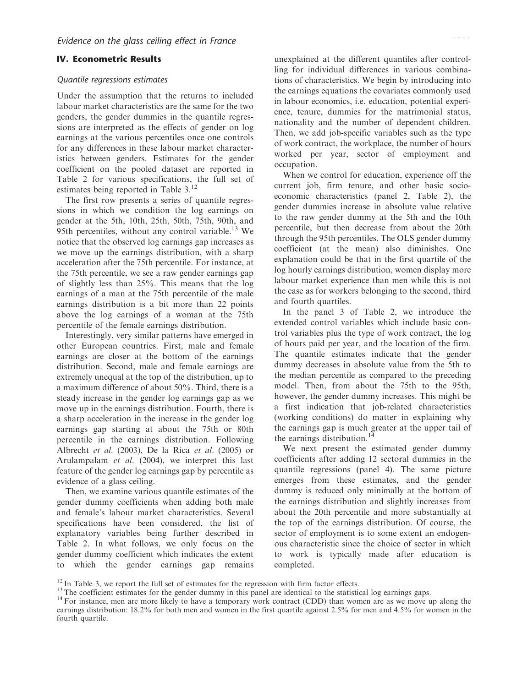#### IV. Econometric Results

#### Quantile regressions estimates

Under the assumption that the returns to included labour market characteristics are the same for the two genders, the gender dummies in the quantile regressions are interpreted as the effects of gender on log earnings at the various percentiles once one controls for any differences in these labour market characteristics between genders. Estimates for the gender coefficient on the pooled dataset are reported in Table 2 for various specifications, the full set of estimates being reported in Table 3.<sup>12</sup>

The first row presents a series of quantile regressions in which we condition the log earnings on gender at the 5th, 10th, 25th, 50th, 75th, 90th, and 95th percentiles, without any control variable.<sup>13</sup> We notice that the observed log earnings gap increases as we move up the earnings distribution, with a sharp acceleration after the 75th percentile. For instance, at the 75th percentile, we see a raw gender earnings gap of slightly less than 25%. This means that the log earnings of a man at the 75th percentile of the male earnings distribution is a bit more than 22 points above the log earnings of a woman at the 75th percentile of the female earnings distribution.

Interestingly, very similar patterns have emerged in other European countries. First, male and female earnings are closer at the bottom of the earnings distribution. Second, male and female earnings are extremely unequal at the top of the distribution, up to a maximum difference of about 50%. Third, there is a steady increase in the gender log earnings gap as we move up in the earnings distribution. Fourth, there is a sharp acceleration in the increase in the gender log earnings gap starting at about the 75th or 80th percentile in the earnings distribution. Following Albrecht et al. (2003), De la Rica et al. (2005) or Arulampalam et al. (2004), we interpret this last feature of the gender log earnings gap by percentile as evidence of a glass ceiling.

Then, we examine various quantile estimates of the gender dummy coefficients when adding both male and female's labour market characteristics. Several specifications have been considered, the list of explanatory variables being further described in Table 2. In what follows, we only focus on the gender dummy coefficient which indicates the extent to which the gender earnings gap remains unexplained at the different quantiles after controlling for individual differences in various combinations of characteristics. We begin by introducing into the earnings equations the covariates commonly used in labour economics, i.e. education, potential experience, tenure, dummies for the matrimonial status, nationality and the number of dependent children. Then, we add job-specific variables such as the type of work contract, the workplace, the number of hours worked per year, sector of employment and occupation.

When we control for education, experience off the current job, firm tenure, and other basic socioeconomic characteristics (panel 2, Table 2), the gender dummies increase in absolute value relative to the raw gender dummy at the 5th and the 10th percentile, but then decrease from about the 20th through the 95th percentiles. The OLS gender dummy coefficient (at the mean) also diminishes. One explanation could be that in the first quartile of the log hourly earnings distribution, women display more labour market experience than men while this is not the case as for workers belonging to the second, third and fourth quartiles.

In the panel 3 of Table 2, we introduce the extended control variables which include basic control variables plus the type of work contract, the log of hours paid per year, and the location of the firm. The quantile estimates indicate that the gender dummy decreases in absolute value from the 5th to the median percentile as compared to the preceding model. Then, from about the 75th to the 95th, however, the gender dummy increases. This might be a first indication that job-related characteristics (working conditions) do matter in explaining why the earnings gap is much greater at the upper tail of the earnings distribution.<sup>14</sup>

We next present the estimated gender dummy coefficients after adding 12 sectoral dummies in the quantile regressions (panel 4). The same picture emerges from these estimates, and the gender dummy is reduced only minimally at the bottom of the earnings distribution and slightly increases from about the 20th percentile and more substantially at the top of the earnings distribution. Of course, the sector of employment is to some extent an endogenous characteristic since the choice of sector in which to work is typically made after education is completed.

 $12$  In Table 3, we report the full set of estimates for the regression with firm factor effects.

 $13$  The coefficient estimates for the gender dummy in this panel are identical to the statistical log earnings gaps.

<sup>&</sup>lt;sup>14</sup> For instance, men are more likely to have a temporary work contract (CDD) than women are as we move up along the earnings distribution: 18.2% for both men and women in the first quartile against 2.5% for men and 4.5% for women in the fourth quartile.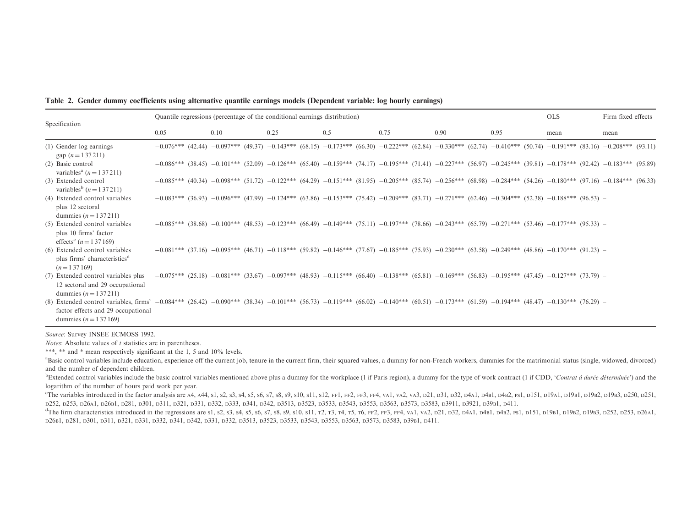Table 2. Gender dummy coefficients using alternative quantile earnings models (Dependent variable: log hourly earnings)

| Specification                                                                                                                                                                                                                                              |      | Quantile regressions (percentage of the conditional earnings distribution)                                                                                                          |      |     |      |      |      | <b>OLS</b> | Firm fixed effects |
|------------------------------------------------------------------------------------------------------------------------------------------------------------------------------------------------------------------------------------------------------------|------|-------------------------------------------------------------------------------------------------------------------------------------------------------------------------------------|------|-----|------|------|------|------------|--------------------|
|                                                                                                                                                                                                                                                            | 0.05 | 0.10                                                                                                                                                                                | 0.25 | 0.5 | 0.75 | 0.90 | 0.95 | mean       | mean               |
| (1) Gender log earnings<br>gap $(n=137211)$                                                                                                                                                                                                                |      | $-0.076***$ (42.44) $-0.097***$ (49.37) $-0.143***$ (68.15) $-0.173***$ (66.30) $-0.222***$ (62.84) $-0.330***$ (62.74) $-0.410***$ (50.74) $-0.191***$ (83.16) $-0.208***$ (93.11) |      |     |      |      |      |            |                    |
| (2) Basic control<br>variables <sup>a</sup> ( <i>n</i> = 1 37 211)                                                                                                                                                                                         |      | $-0.086***$ (38.45) $-0.101***$ (52.09) $-0.126***$ (65.40) $-0.159***$ (74.17) $-0.195***$ (71.41) $-0.227***$ (56.97) $-0.245***$ (39.81) $-0.178***$ (92.42) $-0.183***$ (95.89) |      |     |      |      |      |            |                    |
| (3) Extended control<br>variables <sup>b</sup> $(n=1\,37\,211)$                                                                                                                                                                                            |      | $-0.085***$ (40.34) $-0.098***$ (51.72) $-0.122***$ (64.29) $-0.151***$ (81.95) $-0.205***$ (85.74) $-0.256***$ (68.98) $-0.284***$ (54.26) $-0.180***$ (97.16) $-0.184***$ (96.33) |      |     |      |      |      |            |                    |
| (4) Extended control variables<br>plus 12 sectoral<br>dummies $(n = 137211)$                                                                                                                                                                               |      | $-0.083***$ (36.93) $-0.096***$ (47.99) $-0.124***$ (63.86) $-0.153***$ (75.42) $-0.209***$ (83.71) $-0.271***$ (62.46) $-0.304***$ (52.38) $-0.188***$ (96.53) $-$                 |      |     |      |      |      |            |                    |
| (5) Extended control variables<br>plus 10 firms' factor<br>effects <sup>c</sup> $(n = 137169)$                                                                                                                                                             |      | $-0.085***$ (38.68) $-0.100***$ (48.53) $-0.123***$ (66.49) $-0.149***$ (75.11) $-0.197***$ (78.66) $-0.243***$ (65.79) $-0.271***$ (53.46) $-0.177**$ (95.33) $-$                  |      |     |      |      |      |            |                    |
| (6) Extended control variables<br>plus firms' characteristics <sup>d</sup><br>$(n=137169)$                                                                                                                                                                 |      | $-0.081***$ (37.16) $-0.095***$ (46.71) $-0.118***$ (59.82) $-0.146***$ (77.67) $-0.185***$ (75.93) $-0.230***$ (63.58) $-0.249***$ (48.86) $-0.170***$ (91.23) $-$                 |      |     |      |      |      |            |                    |
| (7) Extended control variables plus<br>12 sectoral and 29 occupational<br>dummies $(n = 137211)$                                                                                                                                                           |      | $-0.075***$ (25.18) $-0.081***$ (33.67) $-0.097***$ (48.93) $-0.115***$ (66.40) $-0.138***$ (65.81) $-0.169***$ (56.83) $-0.195***$ (47.45) $-0.127**$ (73.79) $-$                  |      |     |      |      |      |            |                    |
| (8) Extended control variables, firms' -0.084*** (26.42) -0.090*** (38.34) -0.101*** (56.73) -0.119*** (66.02) -0.140*** (60.51) -0.173*** (61.59) -0.194*** (48.47) -0.130*** (76.29) -<br>factor effects and 29 occupational<br>dummies $(n = 1 37 169)$ |      |                                                                                                                                                                                     |      |     |      |      |      |            |                    |

*Notes*: Absolute values of  $t$  statistics are in parentheses.

\*\*\*, \*\* and \* mean respectively significant at the 1, 5 and 10% levels.

<sup>a</sup>Basic control variables include education, experience off the current job, tenure in the current firm, their squared values, a dummy for non-French workers, dummies for the matrimonial status (single, widowed, divorced) and the number of dependent children.

 $b_{\text{Extended control variables}}$  include the basic control variables mentioned above plus a dummy for the workplace (1 if Paris region), a dummy for the type of work contract (1 if CDD, 'Contrat à durée déterminée') and the logarithm of the number of hours paid work per year.

The variables introduced in the factor analysis are A4, A44, s1, s2, s3, s4, s5, s6, s7, s8, s9, s10, s11, s12, rF1, rF2, rF4, vA1, vA2, vA3, p21, p31, p32, p4A1, p4B1, p4B2, ps1, p151, p19a1, p19a1, p19B1, p19B2, p19B3, p D252, <sup>D</sup>253, <sup>D</sup>26A1, <sup>D</sup>26B1, <sup>D</sup>281, <sup>D</sup>301, <sup>D</sup>311, <sup>D</sup>321, <sup>D</sup>331, <sup>D</sup>332, <sup>D</sup>333, <sup>D</sup>341, <sup>D</sup>342, <sup>D</sup>3513, <sup>D</sup>3523, <sup>D</sup>3533, <sup>D</sup>3543, <sup>D</sup>3553, <sup>D</sup>3563, <sup>D</sup>3573, <sup>D</sup>3583, <sup>D</sup>3911, <sup>D</sup>3921, <sup>D</sup>39B1, <sup>D</sup>411.

<sup>d</sup>The firm characteristics introduced in the regressions are s1, s2, s3, s4, s5, s6, s7, s8, s9, s10, s11, r2, r3, r4, r5, r6, FF2, FF3, F4, vA1, vA2, p21, p32, p4A1, p4B1, p4B2, Ps1, p151, p19B1, p19B2, p19B3, p252, p253 D26B1, <sup>D</sup>281, <sup>D</sup>301, <sup>D</sup>311, <sup>D</sup>321, <sup>D</sup>331, <sup>D</sup>332, <sup>D</sup>341, <sup>D</sup>342, <sup>D</sup>331, <sup>D</sup>332, <sup>D</sup>3513, <sup>D</sup>3523, <sup>D</sup>3533, <sup>D</sup>3543, <sup>D</sup>3553, <sup>D</sup>3563, <sup>D</sup>3573, <sup>D</sup>3583, <sup>D</sup>39B1, <sup>D</sup>411.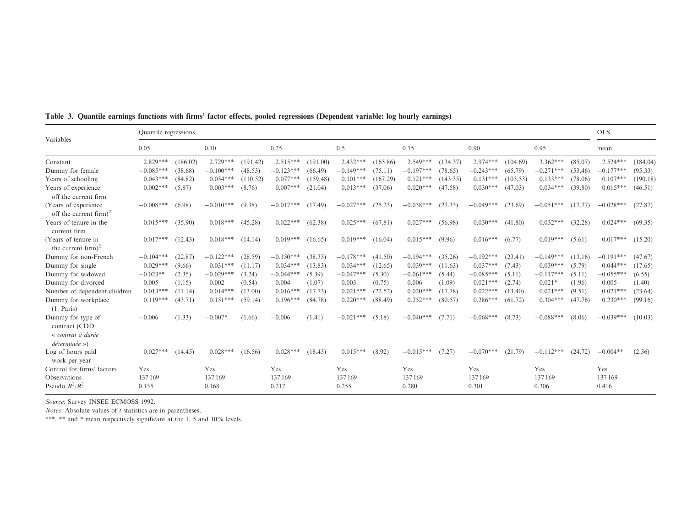| Variables                                                   | Quantile regressions |          |             |          |             |          |             |          |             |          |             |          |             |         | <b>OLS</b>  |          |
|-------------------------------------------------------------|----------------------|----------|-------------|----------|-------------|----------|-------------|----------|-------------|----------|-------------|----------|-------------|---------|-------------|----------|
|                                                             | 0.05                 |          | 0.10        |          | 0.25        |          | 0.5         |          | 0.75        |          | 0.90        |          | 0.95        |         | mean        |          |
| Constant                                                    | $2.829***$           | (186.02) | $2.729***$  | (191.42) | $2.515***$  | (191.00) | $2.432***$  | (165.86) | $2.549***$  | (134.37) | $2.974***$  | (104.69) | $3.362***$  | (85.07) | $2.524***$  | (184.04) |
| Dummy for female                                            | $-0.085***$          | (38.68)  | $-0.100***$ | (48.53)  | $-0.123***$ | (66.49)  | $-0.149***$ | (75.11)  | $-0.197***$ | (78.65)  | $-0.243***$ | (65.79)  | $-0.271***$ | (53.46) | $-0.177***$ | (95.33)  |
| Years of schooling                                          | $0.043***$           | (84.82)  | $0.054***$  | (110.52) | $0.077***$  | (159.48) | $0.101***$  | (167.29) | $0.121***$  | (143.35) | $0.131***$  | (103.53) | $0.133***$  | (78.06) | $0.107***$  | (190.18) |
| Years of experience<br>off the current firm                 | $0.002***$           | (5.87)   | $0.003***$  | (8.76)   | $0.007***$  | (21.04)  | $0.013***$  | (37.06)  | $0.020***$  | (47.58)  | $0.030***$  | (47.03)  | $0.034***$  | (39.80) | $0.015***$  | (46.51)  |
| (Years of experience)<br>off the current firm) <sup>2</sup> | $-0.008***$          | (6.98)   | $-0.010***$ | (9.38)   | $-0.017***$ | (17.49)  | $-0.027***$ | (25.23)  | $-0.038***$ | (27.33)  | $-0.049***$ | (23.69)  | $-0.051***$ | (17.77) | $-0.028***$ | (27.87)  |
| Years of tenure in the<br>current firm                      | $0.015***$           | (35.90)  | $0.018***$  | (45.28)  | $0.022***$  | (62.38)  | $0.025***$  | (67.81)  | $0.027***$  | (56.98)  | $0.030***$  | (41.80)  | $0.032***$  | (32.28) | $0.024***$  | (69.35)  |
| (Years of tenure in<br>the current firm) <sup>2</sup>       | $-0.017***$          | (12.43)  | $-0.018***$ | (14.14)  | $-0.019***$ | (16.65)  | $-0.019***$ | (16.04)  | $-0.015***$ | (9.96)   | $-0.016***$ | (6.77)   | $-0.019***$ | (5.61)  | $-0.017***$ | (15.20)  |
| Dummy for non-French                                        | $-0.104***$          | (22.87)  | $-0.122***$ | (28.59)  | $-0.150***$ | (38.33)  | $-0.178***$ | (41.50)  | $-0.194***$ | (35.26)  | $-0.192***$ | (23.41)  | $-0.149***$ | (13.16) | $-0.191***$ | (47.67)  |
| Dummy for single                                            | $-0.029***$          | (9.66)   | $-0.031***$ | (11.17)  | $-0.034***$ | (13.83)  | $-0.034***$ | (12.65)  | $-0.039***$ | (11.63)  | $-0.037***$ | (7.43)   | $-0.039***$ | (5.79)  | $-0.044***$ | (17.65)  |
| Dummy for widowed                                           | $-0.023**$           | (2.35)   | $-0.029***$ | (3.24)   | $-0.044***$ | (5.39)   | $-0.047***$ | (5.30)   | $-0.061***$ | (5.44)   | $-0.085***$ | (5.11)   | $-0.117***$ | (5.11)  | $-0.055***$ | (6.55)   |
| Dummy for divorced                                          | $-0.005$             | (1.15)   | $-0.002$    | (0.54)   | 0.004       | (1.07)   | $-0.003$    | (0.75)   | $-0.006$    | (1.09)   | $-0.021***$ | (2.74)   | $-0.021*$   | (1.96)  | $-0.005$    | (1.40)   |
| Number of dependent children                                | $0.013***$           | (11.14)  | $0.014***$  | (13.00)  | $0.016***$  | (17.73)  | $0.021***$  | (22.52)  | $0.020***$  | (17.78)  | $0.022***$  | (13.40)  | $0.021***$  | (9.51)  | $0.021***$  | (23.64)  |
| Dummy for workplace<br>(1: Paris)                           | $0.119***$           | (43.71)  | $0.151***$  | (59.14)  | $0.196***$  | (84.78)  | $0.220***$  | (88.49)  | $0.252***$  | (80.57)  | $0.286***$  | (61.72)  | $0.304***$  | (47.76) | $0.230***$  | (99.16)  |
| Dummy for type of<br>contract (CDD:<br>« contrat à durée    | $-0.006$             | (1.33)   | $-0.007*$   | (1.66)   | $-0.006$    | (1.41)   | $-0.021***$ | (5.18)   | $-0.040***$ | (7.71)   | $-0.068***$ | (8.73)   | $-0.088***$ | (8.06)  | $-0.039***$ | (10.03)  |
| $d$ éterminée »)                                            |                      |          |             |          |             |          |             |          |             |          |             |          |             |         |             |          |
| Log of hours paid<br>work per year                          | $0.027***$           | (14.45)  | $0.028***$  | (16.56)  | $0.028***$  | (18.43)  | $0.015***$  | (8.92)   | $-0.015***$ | (7.27)   | $-0.070***$ | (21.79)  | $-0.112***$ | (24.72) | $-0.004**$  | (2.56)   |
| Control for firms' factors                                  | Yes                  |          | Yes         |          | Yes         |          | Yes         |          | Yes         |          | Yes         |          | Yes         |         | Yes         |          |
| Observations                                                | 137169               |          | 137169      |          | 137169      |          | 137169      |          | 137169      |          | 137169      |          | 137169      |         | 137169      |          |
| Pseudo $R^2/R^2$                                            | 0.135                |          | 0.168       |          | 0.217       |          | 0.255       |          | 0.280       |          | 0.301       |          | 0.306       |         | 0.416       |          |

Table 3. Quantile earnings functions with firms' factor effects, pooled regressions (Dependent variable: log hourly earnings)

Notes: Absolute values of *t*-statistics are in parentheses.

\*\*\*, \*\* and \* mean respectively significant at the 1, 5 and 10% levels.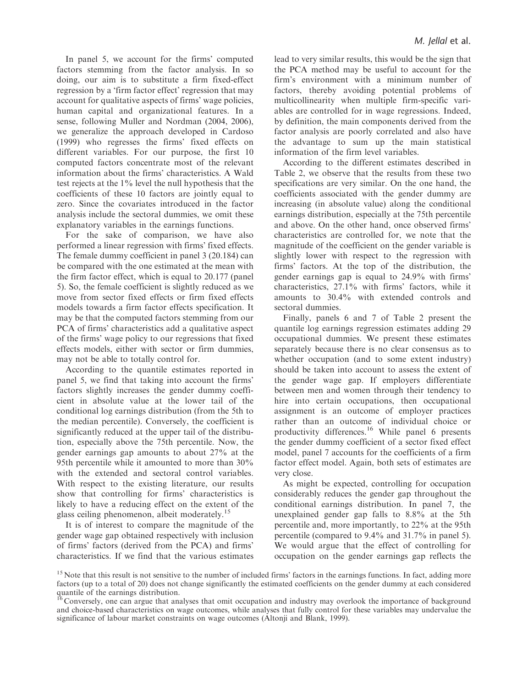In panel 5, we account for the firms' computed factors stemming from the factor analysis. In so doing, our aim is to substitute a firm fixed-effect regression by a 'firm factor effect' regression that may account for qualitative aspects of firms' wage policies, human capital and organizational features. In a sense, following Muller and Nordman (2004, 2006), we generalize the approach developed in Cardoso (1999) who regresses the firms' fixed effects on different variables. For our purpose, the first 10 computed factors concentrate most of the relevant information about the firms' characteristics. A Wald test rejects at the 1% level the null hypothesis that the coefficients of these 10 factors are jointly equal to zero. Since the covariates introduced in the factor analysis include the sectoral dummies, we omit these explanatory variables in the earnings functions.

For the sake of comparison, we have also performed a linear regression with firms' fixed effects. The female dummy coefficient in panel 3 (20.184) can be compared with the one estimated at the mean with the firm factor effect, which is equal to 20.177 (panel 5). So, the female coefficient is slightly reduced as we move from sector fixed effects or firm fixed effects models towards a firm factor effects specification. It may be that the computed factors stemming from our PCA of firms' characteristics add a qualitative aspect of the firms' wage policy to our regressions that fixed effects models, either with sector or firm dummies, may not be able to totally control for.

According to the quantile estimates reported in panel 5, we find that taking into account the firms' factors slightly increases the gender dummy coefficient in absolute value at the lower tail of the conditional log earnings distribution (from the 5th to the median percentile). Conversely, the coefficient is significantly reduced at the upper tail of the distribution, especially above the 75th percentile. Now, the gender earnings gap amounts to about 27% at the 95th percentile while it amounted to more than 30% with the extended and sectoral control variables. With respect to the existing literature, our results show that controlling for firms' characteristics is likely to have a reducing effect on the extent of the glass ceiling phenomenon, albeit moderately.<sup>15</sup>

It is of interest to compare the magnitude of the gender wage gap obtained respectively with inclusion of firms' factors (derived from the PCA) and firms' characteristics. If we find that the various estimates lead to very similar results, this would be the sign that the PCA method may be useful to account for the firm's environment with a minimum number of factors, thereby avoiding potential problems of multicollinearity when multiple firm-specific variables are controlled for in wage regressions. Indeed, by definition, the main components derived from the factor analysis are poorly correlated and also have the advantage to sum up the main statistical information of the firm level variables.

According to the different estimates described in Table 2, we observe that the results from these two specifications are very similar. On the one hand, the coefficients associated with the gender dummy are increasing (in absolute value) along the conditional earnings distribution, especially at the 75th percentile and above. On the other hand, once observed firms' characteristics are controlled for, we note that the magnitude of the coefficient on the gender variable is slightly lower with respect to the regression with firms' factors. At the top of the distribution, the gender earnings gap is equal to 24.9% with firms' characteristics, 27.1% with firms' factors, while it amounts to 30.4% with extended controls and sectoral dummies.

Finally, panels 6 and 7 of Table 2 present the quantile log earnings regression estimates adding 29 occupational dummies. We present these estimates separately because there is no clear consensus as to whether occupation (and to some extent industry) should be taken into account to assess the extent of the gender wage gap. If employers differentiate between men and women through their tendency to hire into certain occupations, then occupational assignment is an outcome of employer practices rather than an outcome of individual choice or productivity differences.<sup>16</sup> While panel 6 presents the gender dummy coefficient of a sector fixed effect model, panel 7 accounts for the coefficients of a firm factor effect model. Again, both sets of estimates are very close.

As might be expected, controlling for occupation considerably reduces the gender gap throughout the conditional earnings distribution. In panel 7, the unexplained gender gap falls to 8.8% at the 5th percentile and, more importantly, to 22% at the 95th percentile (compared to 9.4% and 31.7% in panel 5). We would argue that the effect of controlling for occupation on the gender earnings gap reflects the

<sup>&</sup>lt;sup>15</sup> Note that this result is not sensitive to the number of included firms' factors in the earnings functions. In fact, adding more factors (up to a total of 20) does not change significantly the estimated coefficients on the gender dummy at each considered quantile of the earnings distribution.

<sup>16</sup> Conversely, one can argue that analyses that omit occupation and industry may overlook the importance of background and choice-based characteristics on wage outcomes, while analyses that fully control for these variables may undervalue the significance of labour market constraints on wage outcomes (Altonji and Blank, 1999).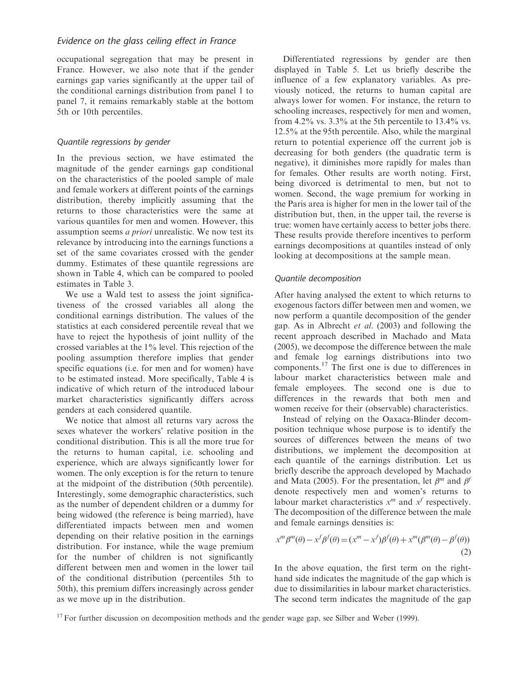occupational segregation that may be present in France. However, we also note that if the gender earnings gap varies significantly at the upper tail of the conditional earnings distribution from panel 1 to panel 7, it remains remarkably stable at the bottom 5th or 10th percentiles.

#### Quantile regressions by gender

In the previous section, we have estimated the magnitude of the gender earnings gap conditional on the characteristics of the pooled sample of male and female workers at different points of the earnings distribution, thereby implicitly assuming that the returns to those characteristics were the same at various quantiles for men and women. However, this assumption seems a priori unrealistic. We now test its relevance by introducing into the earnings functions a set of the same covariates crossed with the gender dummy. Estimates of these quantile regressions are shown in Table 4, which can be compared to pooled estimates in Table 3.

We use a Wald test to assess the joint significativeness of the crossed variables all along the conditional earnings distribution. The values of the statistics at each considered percentile reveal that we have to reject the hypothesis of joint nullity of the crossed variables at the 1% level. This rejection of the pooling assumption therefore implies that gender specific equations (i.e. for men and for women) have to be estimated instead. More specifically, Table 4 is indicative of which return of the introduced labour market characteristics significantly differs across genders at each considered quantile.

We notice that almost all returns vary across the sexes whatever the workers' relative position in the conditional distribution. This is all the more true for the returns to human capital, i.e. schooling and experience, which are always significantly lower for women. The only exception is for the return to tenure at the midpoint of the distribution (50th percentile). Interestingly, some demographic characteristics, such as the number of dependent children or a dummy for being widowed (the reference is being married), have differentiated impacts between men and women depending on their relative position in the earnings distribution. For instance, while the wage premium for the number of children is not significantly different between men and women in the lower tail of the conditional distribution (percentiles 5th to 50th), this premium differs increasingly across gender as we move up in the distribution.

Differentiated regressions by gender are then displayed in Table 5. Let us briefly describe the influence of a few explanatory variables. As previously noticed, the returns to human capital are always lower for women. For instance, the return to schooling increases, respectively for men and women, from 4.2% vs. 3.3% at the 5th percentile to  $13.4\%$  vs. 12.5% at the 95th percentile. Also, while the marginal return to potential experience off the current job is decreasing for both genders (the quadratic term is negative), it diminishes more rapidly for males than for females. Other results are worth noting. First, being divorced is detrimental to men, but not to women. Second, the wage premium for working in the Paris area is higher for men in the lower tail of the distribution but, then, in the upper tail, the reverse is true: women have certainly access to better jobs there. These results provide therefore incentives to perform earnings decompositions at quantiles instead of only looking at decompositions at the sample mean.

#### Quantile decomposition

After having analysed the extent to which returns to exogenous factors differ between men and women, we now perform a quantile decomposition of the gender gap. As in Albrecht et al. (2003) and following the recent approach described in Machado and Mata (2005), we decompose the difference between the male and female log earnings distributions into two components.<sup>17</sup> The first one is due to differences in labour market characteristics between male and female employees. The second one is due to differences in the rewards that both men and women receive for their (observable) characteristics.

Instead of relying on the Oaxaca-Blinder decomposition technique whose purpose is to identify the sources of differences between the means of two distributions, we implement the decomposition at each quantile of the earnings distribution. Let us briefly describe the approach developed by Machado and Mata (2005). For the presentation, let  $\beta^m$  and  $\beta^f$ denote respectively men and women's returns to labour market characteristics  $x^m$  and  $x^f$  respectively. The decomposition of the difference between the male and female earnings densities is:

$$
x^m \beta^m(\theta) - x^f \beta^f(\theta) = (x^m - x^f) \beta^f(\theta) + x^m (\beta^m(\theta) - \beta^f(\theta))
$$
\n(2)

In the above equation, the first term on the righthand side indicates the magnitude of the gap which is due to dissimilarities in labour market characteristics. The second term indicates the magnitude of the gap

<sup>17</sup> For further discussion on decomposition methods and the gender wage gap, see Silber and Weber (1999).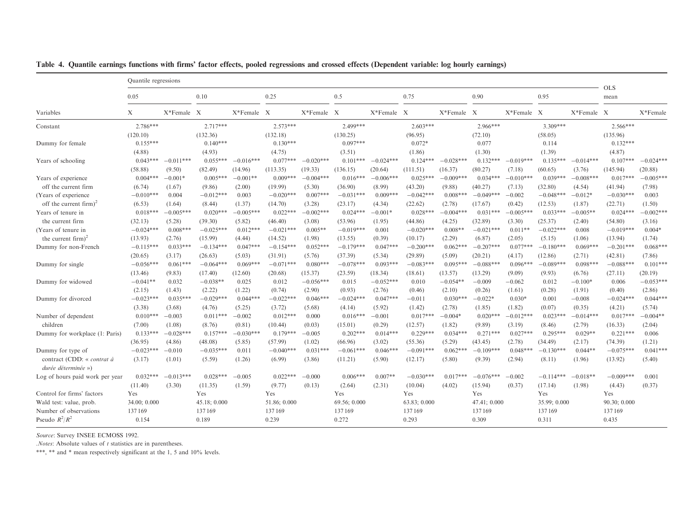| Quantile regressions                                                                                                                                         |                           |             |              |             |                    |             |
|--------------------------------------------------------------------------------------------------------------------------------------------------------------|---------------------------|-------------|--------------|-------------|--------------------|-------------|
| 0.10<br>0.25<br>0.5<br>0.75<br>0.05                                                                                                                          | 0.90                      |             | 0.95         |             | <b>OLS</b><br>mean |             |
| X<br>X*Female X<br>$X*$ Female $X$<br>X*Female X<br>X*Female X<br>Variables                                                                                  | X*Female X                | X*Female X  |              | X*Female X  |                    | X*Female    |
| 2.786***<br>$2.717***$<br>$2.573***$<br>2.499***<br>$2.603***$<br>Constant                                                                                   | 2.966***                  |             | $3.309***$   |             | $2.566***$         |             |
| (132.36)<br>(132.18)<br>(130.25)<br>(120.10)<br>(96.95)                                                                                                      | (72.10)                   |             | (58.05)      |             | (135.96)           |             |
| $0.097***$<br>$0.155***$<br>$0.140***$<br>$0.130***$<br>$0.072*$<br>Dummy for female                                                                         | 0.077                     |             | 0.114        |             | $0.132***$         |             |
| (4.93)<br>(4.75)<br>(3.51)<br>(1.86)<br>(4.88)                                                                                                               | (1.30)                    |             | (1.39)       |             | (4.87)             |             |
| $0.043***$<br>$-0.011***$<br>$0.055***$<br>$-0.016***$<br>$0.077***$<br>$-0.020***$<br>$0.101***$<br>$-0.024***$<br>$0.124***$<br>Years of schooling         | $-0.028***$<br>$0.132***$ | $-0.019***$ | $0.135***$   | $-0.014***$ | $0.107***$         | $-0.024***$ |
| (58.88)<br>(9.50)<br>(82.49)<br>(14.96)<br>(113.35)<br>(19.33)<br>(136.15)<br>(20.64)<br>(111.51)                                                            | (80.27)<br>(16.37)        | (7.18)      | (60.65)      | (3.76)      | (145.94)           | (20.88)     |
| $0.004***$<br>$-0.001*$<br>$0.005***$<br>$0.009***$<br>$-0.004***$<br>$0.016***$<br>$-0.006***$<br>$0.025***$<br>Years of experience<br>$-0.001**$           | $-0.009***$<br>$0.034***$ | $-0.010***$ | $0.039***$   | $-0.008***$ | $0.017***$         | $-0.005***$ |
| off the current firm<br>(6.74)<br>(9.86)<br>(2.00)<br>(19.99)<br>(5.30)<br>(36.90)<br>(8.99)<br>(43.20)<br>(1.67)                                            | (9.88)<br>(40.27)         | (7.13)      | (32.80)      | (4.54)      | (41.94)            | (7.98)      |
| $-0.042***$<br>$-0.010***$<br>$-0.012***$<br>$-0.020***$<br>$0.007***$<br>$-0.031***$<br>$0.009***$<br>0.004<br>0.003<br>(Years of experience)               | $0.008***$<br>$-0.049***$ | $-0.002$    | $-0.048***$  | $-0.012*$   | $-0.030***$        | 0.003       |
| off the current firm) <sup>2</sup><br>(6.53)<br>(1.37)<br>(3.28)<br>(22.62)<br>(1.64)<br>(8.44)<br>(14.70)<br>(23.17)<br>(4.34)                              | (2.78)<br>(17.67)         | (0.42)      | (12.53)      | (1.87)      | (22.71)            | (1.50)      |
| $0.018***$<br>$-0.005***$<br>$0.022***$<br>$-0.002***$<br>$0.024***$<br>$0.028***$<br>Years of tenure in<br>$-0.005***$<br>$0.020***$<br>$-0.001*$           | $-0.004***$<br>$0.031***$ | $-0.005***$ | $0.033***$   | $-0.005**$  | $0.024***$         | $-0.002***$ |
| the current firm<br>(32.13)<br>(39.30)<br>(5.82)<br>(5.28)<br>(46.40)<br>(3.08)<br>(53.96)<br>(1.95)<br>(44.86)                                              | (32.89)<br>(4.25)         | (3.30)      | (25.37)      | (2.40)      | (54.80)            | (3.16)      |
| $-0.025***$<br>$-0.024***$<br>$0.008***$<br>$0.012***$<br>$-0.021***$<br>$0.005**$<br>$-0.019***$<br>$-0.020***$<br>(Years of tenure in<br>0.001             | $0.008**$<br>$-0.021***$  | $0.011**$   | $-0.022***$  | 0.008       | $-0.019***$        | $0.004*$    |
| the current firm) <sup>2</sup><br>(13.93)<br>(2.76)<br>(15.99)<br>(14.52)<br>(1.98)<br>(0.39)<br>(10.17)<br>(4.44)<br>(13.55)                                | (2.29)<br>(6.87)          | (2.05)      | (5.15)       | (1.06)      | (13.94)            | (1.74)      |
| $-0.115***$<br>$0.052***$<br>$-0.179***$<br>$0.047***$<br>$-0.200***$<br>$0.033***$<br>$-0.134***$<br>$0.047***$<br>$-0.154***$<br>Dummy for non-French      | $0.062***$<br>$-0.207***$ | $0.077***$  | $-0.180***$  | $0.069***$  | $-0.201***$        | $0.068***$  |
| (20.65)<br>(3.17)<br>(31.91)<br>(37.39)<br>(5.34)<br>(29.89)<br>(26.63)<br>(5.03)<br>(5.76)                                                                  | (20.21)<br>(5.09)         | (4.17)      | (12.86)      | (2.71)      | (42.81)            | (7.86)      |
| $-0.056***$<br>$0.061***$<br>$-0.064***$<br>$0.069***$<br>$-0.071***$<br>$0.080***$<br>$-0.078***$<br>$0.093***$<br>$-0.083***$<br>Dummy for single          | $0.095***$<br>$-0.088***$ | $0.096***$  | $-0.089***$  | $0.098***$  | $-0.088***$        | $0.101***$  |
| (13.46)<br>(9.83)<br>(17.40)<br>(12.60)<br>(20.68)<br>(15.37)<br>(23.59)<br>(18.34)<br>(18.61)                                                               | (13.57)<br>(13.29)        | (9.09)      | (9.93)       | (6.76)      | (27.11)            | (20.19)     |
| $-0.041**$<br>0.032<br>$-0.038**$<br>$-0.056***$<br>0.015<br>$-0.052***$<br>0.025<br>0.012<br>0.010<br>Dummy for widowed                                     | $-0.054**$<br>$-0.009$    | $-0.062$    | 0.012        | $-0.100*$   | 0.006              | $-0.053***$ |
| (2.15)<br>(1.43)<br>(2.22)<br>(1.22)<br>(0.74)<br>(2.90)<br>(0.93)<br>(2.76)<br>(0.46)                                                                       | (0.26)<br>(2.10)          | (1.61)      | (0.28)       | (1.91)      | (0.40)             | (2.86)      |
| $-0.023***$<br>$0.035***$<br>$-0.029***$<br>$0.044***$<br>$-0.022***$<br>$0.046***$<br>$-0.024***$<br>$0.047***$<br>$-0.011$<br>Dummy for divorced           | $0.030***$<br>$-0.022*$   | $0.030*$    | 0.001        | $-0.008$    | $-0.024***$        | $0.044***$  |
| (3.38)<br>(1.42)<br>(3.68)<br>(4.76)<br>(5.25)<br>(3.72)<br>(5.68)<br>(4.14)<br>(5.92)                                                                       | (2.78)<br>(1.85)          | (1.82)      | (0.07)       | (0.35)      | (4.21)             | (5.74)      |
| $0.010***$<br>$0.011***$<br>$0.012***$<br>$0.017***$<br>$-0.003$<br>$-0.002$<br>0.000<br>$0.016***$<br>$-0.001$<br>Number of dependent                       | $0.020***$<br>$-0.004*$   | $-0.012***$ | $0.023***$   | $-0.014***$ | $0.017***$         | $-0.004**$  |
| (7.00)<br>(0.29)<br>(12.57)<br>children<br>(1.08)<br>(8.76)<br>(0.81)<br>(10.44)<br>(0.03)<br>(15.01)                                                        | (1.82)<br>(9.89)          | (3.19)      | (8.46)       | (2.79)      | (16.33)            | (2.04)      |
| $0.133***$<br>$0.157***$<br>$0.179***$<br>$0.202***$<br>$0.014***$<br>$0.229***$<br>$-0.028***$<br>$-0.030***$<br>$-0.005$<br>Dummy for workplace (1: Paris) | $0.034***$<br>$0.271***$  | $0.027***$  | $0.295***$   | $0.029**$   | $0.221***$         | 0.006       |
| (36.95)<br>(57.99)<br>(55.36)<br>(4.86)<br>(48.08)<br>(5.85)<br>(1.02)<br>(66.96)<br>(3.02)                                                                  | (5.29)<br>(43.45)         | (2.78)      | (34.49)      | (2.17)      | (74.39)            | (1.21)      |
| $0.031***$<br>$0.046***$<br>$-0.091***$<br>$-0.023***$<br>$-0.035***$<br>$-0.040***$<br>$-0.061***$<br>Dummy for type of<br>$-0.010$<br>0.011                | $0.062***$<br>$-0.109***$ | $0.048***$  | $-0.130***$  | $0.044**$   | $-0.075***$        | $0.041***$  |
| contract (CDD: « contrat à<br>(1.01)<br>(12.17)<br>(3.17)<br>(5.59)<br>(1.26)<br>(6.99)<br>(3.86)<br>(11.21)<br>(5.90)                                       | (5.80)<br>(9.39)          | (2.94)      | (8.11)       | (1.96)      | (13.92)            | (5.40)      |
| durée déterminée »)                                                                                                                                          |                           |             |              |             |                    |             |
| $0.032***$<br>$-0.013***$<br>$0.028***$<br>$0.022***$<br>$0.006***$<br>$0.007**$<br>$-0.030***$<br>$-0.005$<br>$-0.000$<br>Log of hours paid work per year   | $0.017***$<br>$-0.076***$ | $-0.002$    | $-0.114***$  | $-0.018**$  | $-0.009***$        | 0.001       |
| (3.30)<br>(11.35)<br>(1.59)<br>(9.77)<br>(0.13)<br>(2.64)<br>(2.31)<br>(10.04)<br>(11.40)                                                                    | (4.02)<br>(15.94)         | (0.37)      | (17.14)      | (1.98)      | (4.43)             | (0.37)      |
| Control for firms' factors<br>Yes<br>Yes<br>Yes<br>Yes<br>Yes                                                                                                | Yes                       |             | Yes          |             | Yes                |             |
| 34.00; 0.000<br>45.18; 0.000<br>51.86; 0.000<br>69.56; 0.000<br>63.83; 0.000<br>Wald test: value, prob.                                                      | 47.41; 0.000              |             | 35.99: 0.000 |             | 90.30; 0.000       |             |
| Number of observations<br>137169<br>137169<br>137169<br>137169<br>137169                                                                                     | 137169                    |             | 137169       |             | 137169             |             |
| Pseudo $R^2/R^2$<br>0.154<br>0.189<br>0.239<br>0.272<br>0.293                                                                                                | 0.309                     |             | 0.311        |             | 0.435              |             |

|  |  |  |  | Table 4. Quantile earnings functions with firms' factor effects, pooled regressions and crossed effects (Dependent variable: log hourly earnings) |  |  |  |  |  |
|--|--|--|--|---------------------------------------------------------------------------------------------------------------------------------------------------|--|--|--|--|--|
|  |  |  |  |                                                                                                                                                   |  |  |  |  |  |

.*Notes*: Absolute values of  $t$  statistics are in parentheses.

\*\*\*, \*\* and \* mean respectively significant at the 1, 5 and 10% levels.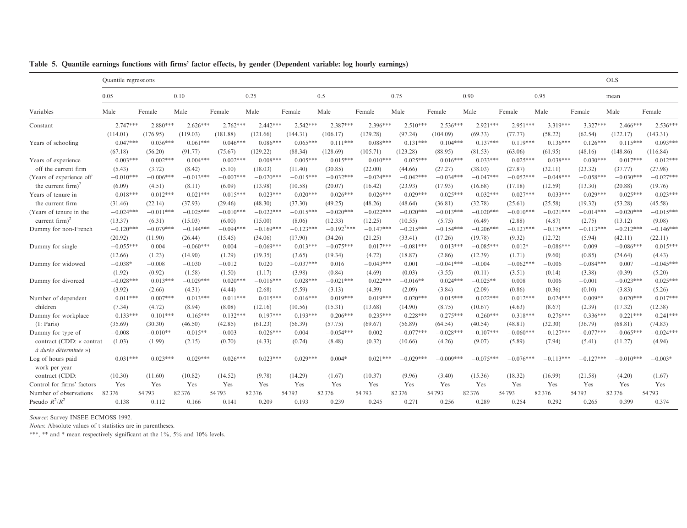|                                | Quantile regressions |             |             |             |             |             |                 |             |             |             |             |             |             |             | <b>OLS</b>  |             |
|--------------------------------|----------------------|-------------|-------------|-------------|-------------|-------------|-----------------|-------------|-------------|-------------|-------------|-------------|-------------|-------------|-------------|-------------|
|                                | 0.05                 |             | 0.10        |             | 0.25        |             | 0.5             |             | 0.75        |             | 0.90        |             | 0.95        |             | mean        |             |
| Variables                      | Male                 | Female      | Male        | Female      | Male        | Female      | Male            | Female      | Male        | Female      | Male        | Female      | Male        | Female      | Male        | Female      |
| Constant                       | $2.747***$           | $2.880***$  | $2.626***$  | $2.762***$  | $2.442***$  | $2.542***$  | $2.387***$      | $2.396***$  | $2.510***$  | $2.536***$  | $2.921***$  | $2.951***$  | $3.319***$  | $3.327***$  | $2.466***$  | $2.536***$  |
|                                | (114.01)             | (176.95)    | (119.03)    | (181.88)    | (121.66)    | (144.31)    | (106.17)        | (129.28)    | (97.24)     | (104.09)    | (69.33)     | (77.77)     | (58.22)     | (62.54)     | (122.17)    | (143.31)    |
| Years of schooling             | $0.047***$           | $0.036***$  | $0.061***$  | $0.046***$  | $0.086***$  | $0.065***$  | $0.111***$      | $0.088***$  | $0.131***$  | $0.104***$  | $0.137***$  | $0.119***$  | $0.136***$  | $0.126***$  | $0.115***$  | $0.093***$  |
|                                | (67.18)              | (56.20)     | (91.77)     | (75.67)     | (129.22)    | (88.34)     | (128.69)        | (105.71)    | (123.28)    | (88.95)     | (81.53)     | (63.06)     | (61.95)     | (48.16)     | (148.86)    | (116.84)    |
| Years of experience            | $0.003***$           | $0.002***$  | $0.004***$  | $0.002***$  | $0.008***$  | $0.005***$  | $0.015***$      | $0.010***$  | $0.025***$  | $0.016***$  | $0.033***$  | $0.025***$  | $0.038***$  | $0.030***$  | $0.017***$  | $0.012***$  |
| off the current firm           | (5.43)               | (3.72)      | (8.42)      | (5.10)      | (18.03)     | (11.40)     | (30.85)         | (22.00)     | (44.66)     | (27.27)     | (38.03)     | (27.87)     | (32.11)     | (23.32)     | (37.77)     | (27.98)     |
| (Years of experience off       | $-0.010***$          | $-0.006***$ | $-0.013***$ | $-0.007***$ | $-0.020***$ | $-0.015***$ | $-0.032***$     | $-0.024***$ | $-0.042***$ | $-0.034***$ | $-0.047***$ | $-0.052***$ | $-0.048***$ | $-0.058***$ | $-0.030***$ | $-0.027***$ |
| the current firm) <sup>2</sup> | (6.09)               | (4.51)      | (8.11)      | (6.09)      | (13.98)     | (10.58)     | (20.07)         | (16.42)     | (23.93)     | (17.93)     | (16.68)     | (17.18)     | (12.59)     | (13.30)     | (20.88)     | (19.76)     |
| Years of tenure in             | $0.018***$           | $0.012***$  | $0.021***$  | $0.015***$  | $0.023***$  | $0.020***$  | $0.026***$      | $0.026***$  | $0.029***$  | $0.025***$  | $0.032***$  | $0.027***$  | $0.033***$  | $0.029***$  | $0.025***$  | $0.023***$  |
| the current firm               | (31.46)              | (22.14)     | (37.93)     | (29.46)     | (48.30)     | (37.30)     | (49.25)         | (48.26)     | (48.64)     | (36.81)     | (32.78)     | (25.61)     | (25.58)     | (19.32)     | (53.28)     | (45.58)     |
| (Years of tenure in the        | $-0.024***$          | $-0.011***$ | $-0.025***$ | $-0.010***$ | $-0.022***$ | $-0.015***$ | $-0.020***$     | $-0.022***$ | $-0.020***$ | $-0.013***$ | $-0.020***$ | $-0.010***$ | $-0.021***$ | $-0.014***$ | $-0.020***$ | $-0.015***$ |
| current firm) $^{2}$           | (13.37)              | (6.31)      | (15.03)     | (6.00)      | (15.00)     | (8.06)      | (12.33)         | (12.25)     | (10.55)     | (5.75)      | (6.49)      | (2.88)      | (4.87)      | (2.75)      | (13.12)     | (9.08)      |
| Dummy for non-French           | $-0.120***$          | $-0.079***$ | $-0.144***$ | $-0.094***$ | $-0.169***$ | $-0.123***$ | $-0.192^{7***}$ | $-0.147***$ | $-0.215***$ | $-0.154***$ | $-0.206***$ | $-0.127***$ | $-0.178***$ | $-0.113***$ | $-0.212***$ | $-0.146***$ |
|                                | (20.92)              | (11.90)     | (26.44)     | (15.45)     | (34.06)     | (17.90)     | (34.26)         | (21.25)     | (33.41)     | (17.26)     | (19.78)     | (9.32)      | (12.72)     | (5.94)      | (42.11)     | (22.11)     |
| Dummy for single               | $-0.055***$          | 0.004       | $-0.060***$ | 0.004       | $-0.069***$ | $0.013***$  | $-0.075***$     | $0.017***$  | $-0.081***$ | $0.013***$  | $-0.085***$ | $0.012*$    | $-0.086***$ | 0.009       | $-0.086***$ | $0.015***$  |
|                                | (12.66)              | (1.23)      | (14.90)     | (1.29)      | (19.35)     | (3.65)      | (19.34)         | (4.72)      | (18.87)     | (2.86)      | (12.39)     | (1.71)      | (9.60)      | (0.85)      | (24.64)     | (4.43)      |
| Dummy for widowed              | $-0.038*$            | $-0.008$    | $-0.030$    | $-0.012$    | 0.020       | $-0.037***$ | 0.016           | $-0.043***$ | 0.001       | $-0.041***$ | $-0.004$    | $-0.062***$ | $-0.006$    | $-0.084***$ | 0.007       | $-0.045***$ |
|                                | (1.92)               | (0.92)      | (1.58)      | (1.50)      | (1.17)      | (3.98)      | (0.84)          | (4.69)      | (0.03)      | (3.55)      | (0.11)      | (3.51)      | (0.14)      | (3.38)      | (0.39)      | (5.20)      |
| Dummy for divorced             | $-0.028***$          | $0.013***$  | $-0.029***$ | $0.020***$  | $-0.016***$ | $0.028***$  | $-0.021***$     | $0.022***$  | $-0.016**$  | $0.024***$  | $-0.025**$  | 0.008       | 0.006       | $-0.001$    | $-0.023***$ | $0.025***$  |
|                                | (3.92)               | (2.66)      | (4.31)      | (4.44)      | (2.68)      | (5.59)      | (3.13)          | (4.39)      | (2.09)      | (3.84)      | (2.09)      | (0.86)      | (0.36)      | (0.10)      | (3.83)      | (5.26)      |
| Number of dependent            | $0.011***$           | $0.007***$  | $0.013***$  | $0.011***$  | $0.015***$  | $0.016***$  | $0.019***$      | $0.019***$  | $0.020***$  | $0.015***$  | $0.022***$  | $0.012***$  | $0.024***$  | $0.009**$   | $0.020***$  | $0.017***$  |
| children                       | (7.34)               | (4.72)      | (8.94)      | (8.08)      | (12.16)     | (10.56)     | (15.31)         | (13.68)     | (14.90)     | (8.75)      | (10.67)     | (4.63)      | (8.67)      | (2.39)      | (17.32)     | (12.38)     |
| Dummy for workplace            | $0.133***$           | $0.101***$  | $0.165***$  | $0.132***$  | $0.197***$  | $0.193***$  | $0.206***$      | $0.235***$  | $0.228***$  | $0.275***$  | $0.260***$  | $0.318***$  | $0.276***$  | $0.336***$  | $0.221***$  | $0.241***$  |
| (1: Paris)                     | (35.69)              | (30.30)     | (46.50)     | (42.85)     | (61.23)     | (56.39)     | (57.75)         | (69.67)     | (56.89)     | (64.54)     | (40.54)     | (48.81)     | (32.30)     | (36.79)     | (68.81)     | (74.83)     |
| Dummy for type of              | $-0.008$             | $-0.010**$  | $-0.015**$  | $-0.003$    | $-0.026***$ | 0.004       | $-0.054***$     | 0.002       | $-0.077***$ | $-0.028***$ | $-0.107***$ | $-0.060***$ | $-0.127***$ | $-0.077***$ | $-0.065***$ | $-0.024***$ |
| contract (CDD: « contrat       | (1.03)               | (1.99)      | (2.15)      | (0.70)      | (4.33)      | (0.74)      | (8.48)          | (0.32)      | (10.66)     | (4.26)      | (9.07)      | (5.89)      | (7.94)      | (5.41)      | (11.27)     | (4.94)      |
| à durée déterminée »)          |                      |             |             |             |             |             |                 |             |             |             |             |             |             |             |             |             |
| Log of hours paid              | $0.031***$           | $0.023***$  | $0.029***$  | $0.026***$  | $0.023***$  | $0.029***$  | $0.004*$        | $0.021***$  | $-0.029***$ | $-0.009***$ | $-0.075***$ | $-0.076***$ | $-0.113***$ | $-0.127***$ | $-0.010***$ | $-0.003*$   |
| work per year                  |                      |             |             |             |             |             |                 |             |             |             |             |             |             |             |             |             |
| contract (CDD:                 | (10.30)              | (11.60)     | (10.82)     | (14.52)     | (9.78)      | (14.29)     | (1.67)          | (10.37)     | (9.96)      | (3.40)      | (15.36)     | (18.32)     | (16.99)     | (21.58)     | (4.20)      | (1.67)      |
| Control for firms' factors     | Yes                  | Yes         | Yes         | Yes         | Yes         | Yes         | Yes             | Yes         | Yes         | Yes         | Yes         | Yes         | Yes         | Yes         | Yes         | Yes         |
| Number of observations         | 82376                | 54793       | 82376       | 54793       | 82376       | 54793       | 82376           | 54793       | 82376       | 54793       | 82376       | 54793       | 82376       | 54793       | 82376       | 54793       |
| Pseudo $R^2/R^2$               | 0.138                | 0.112       | 0.166       | 0.141       | 0.209       | 0.193       | 0.239           | 0.245       | 0.271       | 0.256       | 0.289       | 0.254       | 0.292       | 0.265       | 0.399       | 0.374       |

Table 5. Quantile earnings functions with firms' factor effects, by gender (Dependent variable: log hourly earnings)

Notes: Absolute values of <sup>t</sup> statistics are in parentheses.

\*\*\*, \*\* and \* mean respectively significant at the 1%, 5% and 10% levels.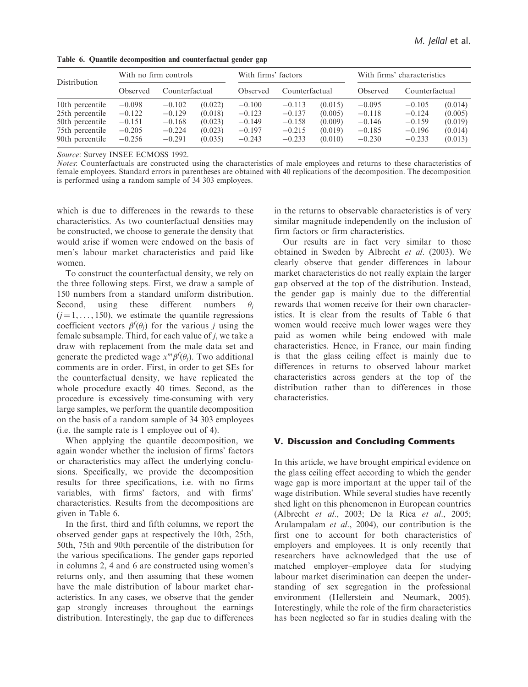| Distribution                                                                                | With no firm controls                                    |                                                          |                                                     | With firms' factors                                      |                                                          |                                                     | With firms' characteristics                              |                                                          |                                                     |  |
|---------------------------------------------------------------------------------------------|----------------------------------------------------------|----------------------------------------------------------|-----------------------------------------------------|----------------------------------------------------------|----------------------------------------------------------|-----------------------------------------------------|----------------------------------------------------------|----------------------------------------------------------|-----------------------------------------------------|--|
|                                                                                             | Observed                                                 | Counterfactual                                           |                                                     | Observed                                                 | Counterfactual                                           |                                                     | Observed                                                 | Counterfactual                                           |                                                     |  |
| 10th percentile<br>25th percentile<br>50th percentile<br>75th percentile<br>90th percentile | $-0.098$<br>$-0.122$<br>$-0.151$<br>$-0.205$<br>$-0.256$ | $-0.102$<br>$-0.129$<br>$-0.168$<br>$-0.224$<br>$-0.291$ | (0.022)<br>(0.018)<br>(0.023)<br>(0.023)<br>(0.035) | $-0.100$<br>$-0.123$<br>$-0.149$<br>$-0.197$<br>$-0.243$ | $-0.113$<br>$-0.137$<br>$-0.158$<br>$-0.215$<br>$-0.233$ | (0.015)<br>(0.005)<br>(0.009)<br>(0.019)<br>(0.010) | $-0.095$<br>$-0.118$<br>$-0.146$<br>$-0.185$<br>$-0.230$ | $-0.105$<br>$-0.124$<br>$-0.159$<br>$-0.196$<br>$-0.233$ | (0.014)<br>(0.005)<br>(0.019)<br>(0.014)<br>(0.013) |  |

Table 6. Quantile decomposition and counterfactual gender gap

Notes: Counterfactuals are constructed using the characteristics of male employees and returns to these characteristics of female employees. Standard errors in parentheses are obtained with 40 replications of the decomposition. The decomposition is performed using a random sample of 34 303 employees.

which is due to differences in the rewards to these characteristics. As two counterfactual densities may be constructed, we choose to generate the density that would arise if women were endowed on the basis of men's labour market characteristics and paid like women.

To construct the counterfactual density, we rely on the three following steps. First, we draw a sample of 150 numbers from a standard uniform distribution. Second, using these different numbers j  $(j = 1, \ldots, 150)$ , we estimate the quantile regressions coefficient vectors  $\beta^f(\theta_j)$  for the various j using the female subsample. Third, for each value of  $j$ , we take a draw with replacement from the male data set and generate the predicted wage  $x^m \beta^f(\theta_j)$ . Two additional comments are in order. First, in order to get SEs for the counterfactual density, we have replicated the whole procedure exactly 40 times. Second, as the procedure is excessively time-consuming with very large samples, we perform the quantile decomposition on the basis of a random sample of 34 303 employees (i.e. the sample rate is 1 employee out of 4).

When applying the quantile decomposition, we again wonder whether the inclusion of firms' factors or characteristics may affect the underlying conclusions. Specifically, we provide the decomposition results for three specifications, i.e. with no firms variables, with firms' factors, and with firms' characteristics. Results from the decompositions are given in Table 6.

In the first, third and fifth columns, we report the observed gender gaps at respectively the 10th, 25th, 50th, 75th and 90th percentile of the distribution for the various specifications. The gender gaps reported in columns 2, 4 and 6 are constructed using women's returns only, and then assuming that these women have the male distribution of labour market characteristics. In any cases, we observe that the gender gap strongly increases throughout the earnings distribution. Interestingly, the gap due to differences

in the returns to observable characteristics is of very similar magnitude independently on the inclusion of firm factors or firm characteristics.

Our results are in fact very similar to those obtained in Sweden by Albrecht et al. (2003). We clearly observe that gender differences in labour market characteristics do not really explain the larger gap observed at the top of the distribution. Instead, the gender gap is mainly due to the differential rewards that women receive for their own characteristics. It is clear from the results of Table 6 that women would receive much lower wages were they paid as women while being endowed with male characteristics. Hence, in France, our main finding is that the glass ceiling effect is mainly due to differences in returns to observed labour market characteristics across genders at the top of the distribution rather than to differences in those characteristics.

### V. Discussion and Concluding Comments

In this article, we have brought empirical evidence on the glass ceiling effect according to which the gender wage gap is more important at the upper tail of the wage distribution. While several studies have recently shed light on this phenomenon in European countries (Albrecht et al., 2003; De la Rica et al., 2005; Arulampalam et al., 2004), our contribution is the first one to account for both characteristics of employers and employees. It is only recently that researchers have acknowledged that the use of matched employer–employee data for studying labour market discrimination can deepen the understanding of sex segregation in the professional environment (Hellerstein and Neumark, 2005). Interestingly, while the role of the firm characteristics has been neglected so far in studies dealing with the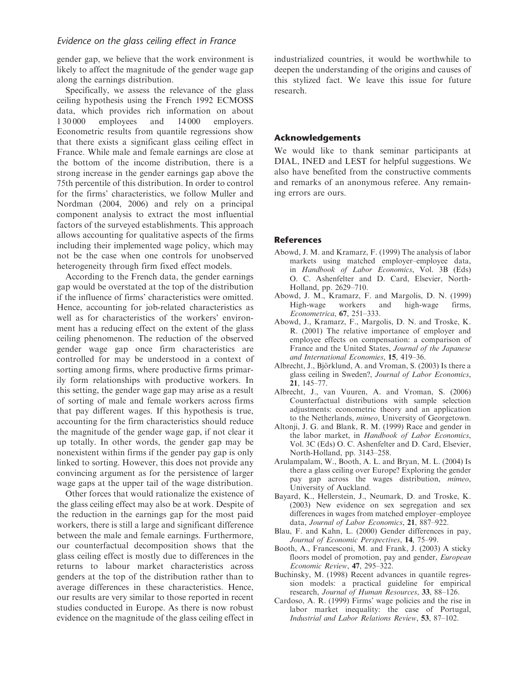gender gap, we believe that the work environment is likely to affect the magnitude of the gender wage gap along the earnings distribution.

Specifically, we assess the relevance of the glass ceiling hypothesis using the French 1992 ECMOSS data, which provides rich information on about 1 30 000 employees and 14 000 employers. Econometric results from quantile regressions show that there exists a significant glass ceiling effect in France. While male and female earnings are close at the bottom of the income distribution, there is a strong increase in the gender earnings gap above the 75th percentile of this distribution. In order to control for the firms' characteristics, we follow Muller and Nordman (2004, 2006) and rely on a principal component analysis to extract the most influential factors of the surveyed establishments. This approach allows accounting for qualitative aspects of the firms including their implemented wage policy, which may not be the case when one controls for unobserved heterogeneity through firm fixed effect models.

According to the French data, the gender earnings gap would be overstated at the top of the distribution if the influence of firms' characteristics were omitted. Hence, accounting for job-related characteristics as well as for characteristics of the workers' environment has a reducing effect on the extent of the glass ceiling phenomenon. The reduction of the observed gender wage gap once firm characteristics are controlled for may be understood in a context of sorting among firms, where productive firms primarily form relationships with productive workers. In this setting, the gender wage gap may arise as a result of sorting of male and female workers across firms that pay different wages. If this hypothesis is true, accounting for the firm characteristics should reduce the magnitude of the gender wage gap, if not clear it up totally. In other words, the gender gap may be nonexistent within firms if the gender pay gap is only linked to sorting. However, this does not provide any convincing argument as for the persistence of larger wage gaps at the upper tail of the wage distribution.

Other forces that would rationalize the existence of the glass ceiling effect may also be at work. Despite of the reduction in the earnings gap for the most paid workers, there is still a large and significant difference between the male and female earnings. Furthermore, our counterfactual decomposition shows that the glass ceiling effect is mostly due to differences in the returns to labour market characteristics across genders at the top of the distribution rather than to average differences in these characteristics. Hence, our results are very similar to those reported in recent studies conducted in Europe. As there is now robust evidence on the magnitude of the glass ceiling effect in industrialized countries, it would be worthwhile to deepen the understanding of the origins and causes of this stylized fact. We leave this issue for future research.

#### Acknowledgements

We would like to thank seminar participants at DIAL, INED and LEST for helpful suggestions. We also have benefited from the constructive comments and remarks of an anonymous referee. Any remaining errors are ours.

#### **References**

- Abowd, J. M. and Kramarz, F. (1999) The analysis of labor markets using matched employer–employee data, in Handbook of Labor Economics, Vol. 3B (Eds) O. C. Ashenfelter and D. Card, Elsevier, North-Holland, pp. 2629–710.
- Abowd, J. M., Kramarz, F. and Margolis, D. N. (1999) High-wage workers and high-wage firms, Econometrica, 67, 251–333.
- Abowd, J., Kramarz, F., Margolis, D. N. and Troske, K. R. (2001) The relative importance of employer and employee effects on compensation: a comparison of France and the United States, Journal of the Japanese and International Economies, 15, 419–36.
- Albrecht, J., Björklund, A. and Vroman, S. (2003) Is there a glass ceiling in Sweden?, Journal of Labor Economics, 21, 145–77.
- Albrecht, J., van Vuuren, A. and Vroman, S. (2006) Counterfactual distributions with sample selection adjustments: econometric theory and an application to the Netherlands, mimeo, University of Georgetown.
- Altonji, J. G. and Blank, R. M. (1999) Race and gender in the labor market, in Handbook of Labor Economics, Vol. 3C (Eds) O. C. Ashenfelter and D. Card, Elsevier, North-Holland, pp. 3143–258.
- Arulampalam, W., Booth, A. L. and Bryan, M. L. (2004) Is there a glass ceiling over Europe? Exploring the gender pay gap across the wages distribution, mimeo, University of Auckland.
- Bayard, K., Hellerstein, J., Neumark, D. and Troske, K. (2003) New evidence on sex segregation and sex differences in wages from matched employer–employee data, Journal of Labor Economics, 21, 887–922.
- Blau, F. and Kahn, L. (2000) Gender differences in pay, Journal of Economic Perspectives, 14, 75–99.
- Booth, A., Francesconi, M. and Frank, J. (2003) A sticky floors model of promotion, pay and gender, *European* Economic Review, 47, 295–322.
- Buchinsky, M. (1998) Recent advances in quantile regression models: a practical guideline for empirical research, Journal of Human Resources, 33, 88–126.
- Cardoso, A. R. (1999) Firms' wage policies and the rise in labor market inequality: the case of Portugal, Industrial and Labor Relations Review, 53, 87–102.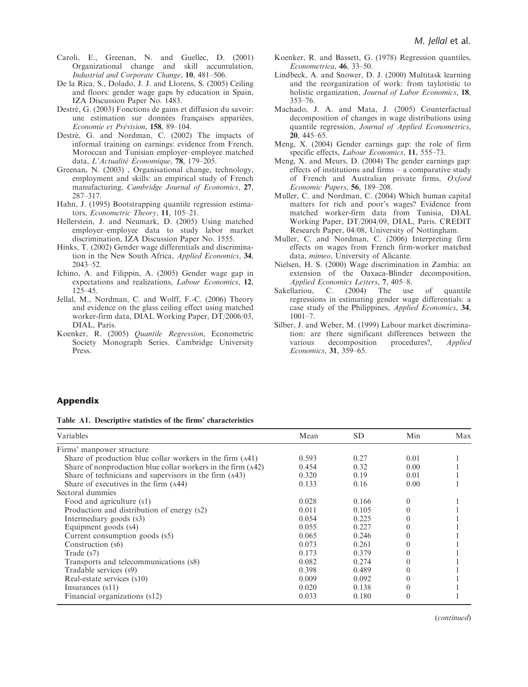- Caroli, E., Greenan, N. and Guellec, D. (2001) Organizational change and skill accumulation, Industrial and Corporate Change, 10, 481–506.
- De la Rica, S., Dolado, J. J. and Llorens, S. (2005) Ceiling and floors: gender wage gaps by education in Spain, IZA Discussion Paper No. 1483.
- Destré, G. (2003) Fonctions de gains et diffusion du savoir: une estimation sur données françaises appariées, Economie et Prévision, 158, 89-104.
- Destré, G. and Nordman, C. (2002) The impacts of informal training on earnings: evidence from French, Moroccan and Tunisian employer–employee matched data, L'Actualité Économique,  $78$ , 179–205.
- Greenan, N. (2003) , Organisational change, technology, employment and skills: an empirical study of French manufacturing, Cambridge Journal of Economics, 27, 287–317.
- Hahn, J. (1995) Bootstrapping quantile regression estimators, Econometric Theory, 11, 105–21.
- Hellerstein, J. and Neumark, D. (2005) Using matched employer–employee data to study labor market discrimination, IZA Discussion Paper No. 1555.
- Hinks, T. (2002) Gender wage differentials and discrimination in the New South Africa, Applied Economics, 34, 2043–52.
- Ichino, A. and Filippin, A. (2005) Gender wage gap in expectations and realizations, Labour Economics, 12, 125–45.
- Jellal, M., Nordman, C. and Wolff, F.-C. (2006) Theory and evidence on the glass ceiling effect using matched worker-firm data, DIAL Working Paper, DT/2006/03, DIAL, Paris.
- Koenker, R. (2005) Quantile Regression, Econometric Society Monograph Series. Cambridge University Press.
- Koenker, R. and Bassett, G. (1978) Regression quantiles, Econometrica, 46, 33–50.
- Lindbeck, A. and Snower, D. J. (2000) Multitask learning and the reorganization of work: from tayloristic to holistic organization, Journal of Labor Economics, 18, 353–76.
- Machado, J. A. and Mata, J. (2005) Counterfactual decomposition of changes in wage distributions using quantile regression, Journal of Applied Econometrics, 20, 445–65.
- Meng, X. (2004) Gender earnings gap: the role of firm specific effects, *Labour Economics*, 11, 555–73.
- Meng, X. and Meurs, D. (2004) The gender earnings gap: effects of institutions and firms – a comparative study of French and Australian private firms, Oxford Economic Papers, 56, 189–208.
- Muller, C. and Nordman, C. (2004) Which human capital matters for rich and poor's wages? Evidence from matched worker-firm data from Tunisia, DIAL Working Paper, DT/2004/09, DIAL, Paris. CREDIT Research Paper, 04/08, University of Nottingham.
- Muller, C. and Nordman, C. (2006) Interpreting firm effects on wages from French firm-worker matched data, mimeo, University of Alicante.
- Nielsen, H. S. (2000) Wage discrimination in Zambia: an extension of the Oaxaca-Blinder decomposition, Applied Economics Letters, 7, 405–8.
- Sakellariou, C. (2004) The use of quantile regressions in estimating gender wage differentials: a case study of the Philippines, Applied Economics, 34,  $1001 - 7.$
- Silber, J. and Weber, M. (1999) Labour market discrimination: are there significant differences between the various decomposition procedures?, Applied Economics, 31, 359–65.

#### Appendix

Table A1. Descriptive statistics of the firms' characteristics

| Variables                                                    | Mean  | SD.   | Min  | Max |
|--------------------------------------------------------------|-------|-------|------|-----|
| Firms' manpower structure                                    |       |       |      |     |
| Share of production blue collar workers in the firm (A41)    | 0.593 | 0.27  | 0.01 |     |
| Share of nonproduction blue collar workers in the firm (A42) | 0.454 | 0.32  | 0.00 |     |
| Share of technicians and supervisors in the firm (A43)       | 0.320 | 0.19  | 0.01 |     |
| Share of executives in the firm (A44)                        | 0.133 | 0.16  | 0.00 |     |
| Sectoral dummies                                             |       |       |      |     |
| Food and agriculture (s1)                                    | 0.028 | 0.166 | 0    |     |
| Production and distribution of energy (s2)                   | 0.011 | 0.105 |      |     |
| Intermediary goods (s3)                                      | 0.054 | 0.225 |      |     |
| Equipment goods (s4)                                         | 0.055 | 0.227 |      |     |
| Current consumption goods (s5)                               | 0.065 | 0.246 |      |     |
| Construction (s6)                                            | 0.073 | 0.261 |      |     |
| Trade (s7)                                                   | 0.173 | 0.379 |      |     |
| Transports and telecommunications (s8)                       | 0.082 | 0.274 |      |     |
| Tradable services (s9)                                       | 0.398 | 0.489 |      |     |
| Real-estate services (s10)                                   | 0.009 | 0.092 |      |     |
| Insurances $(s11)$                                           | 0.020 | 0.138 |      |     |
| Financial organizations (s12)                                | 0.033 | 0.180 |      |     |

(continued)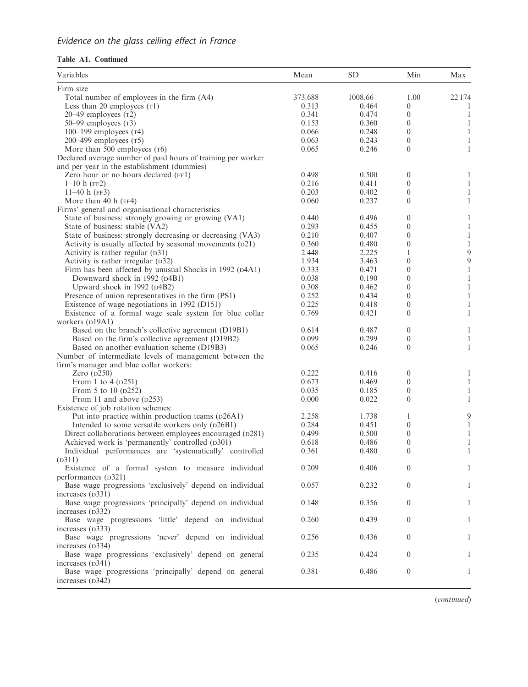## Evidence on the glass ceiling effect in France

### Table A1. Continued

| Variables                                                                | Mean    | <b>SD</b> | Min              | Max          |
|--------------------------------------------------------------------------|---------|-----------|------------------|--------------|
| Firm size                                                                |         |           |                  |              |
| Total number of employees in the firm (A4)                               | 373.688 | 1008.66   | 1.00             | 22 174       |
| Less than 20 employees $(T1)$                                            | 0.313   | 0.464     | 0                | 1            |
| $20-49$ employees $(T2)$                                                 | 0.341   | 0.474     | $\theta$         | $\mathbf{1}$ |
| 50-99 employees $(T3)$                                                   | 0.153   | 0.360     | $\boldsymbol{0}$ | 1            |
| $100-199$ employees ( $\tau$ 4)                                          | 0.066   | 0.248     | $\boldsymbol{0}$ | 1            |
| 200–499 employees $(T5)$                                                 | 0.063   | 0.243     | $\theta$         | 1            |
| More than 500 employees (T6)                                             | 0.065   | 0.246     | $\theta$         | 1            |
| Declared average number of paid hours of training per worker             |         |           |                  |              |
| and per year in the establishment (dummies)                              |         |           |                  |              |
| Zero hour or no hours declared (FF1)                                     | 0.498   | 0.500     | $\boldsymbol{0}$ | 1            |
| $1-10$ h (FF2)                                                           | 0.216   | 0.411     | $\boldsymbol{0}$ | $\mathbf{1}$ |
| 11–40 h $(FF3)$                                                          | 0.203   | 0.402     | $\theta$         | 1            |
| More than 40 h $(FF4)$                                                   | 0.060   | 0.237     | $\theta$         | $\mathbf{1}$ |
| Firms' general and organisational characteristics                        |         |           |                  |              |
| State of business: strongly growing or growing (VA1)                     | 0.440   | 0.496     | 0                | 1            |
| State of business: stable (VA2)                                          | 0.293   | 0.455     | $\boldsymbol{0}$ | 1            |
| State of business: strongly decreasing or decreasing (VA3)               | 0.210   | 0.407     | $\theta$         | $\mathbf{1}$ |
| Activity is usually affected by seasonal movements (D21)                 | 0.360   | 0.480     | $\theta$         | $\mathbf{1}$ |
|                                                                          | 2.448   | 2.225     | 1                | 9            |
| Activity is rather regular $(D31)$<br>Activity is rather irregular (D32) | 1.934   | 3.463     | $\theta$         | 9            |
|                                                                          |         |           |                  |              |
| Firm has been affected by unusual Shocks in 1992 (D4A1)                  | 0.333   | 0.471     | $\theta$         | 1            |
| Downward shock in 1992 (D4B1)                                            | 0.038   | 0.190     | $\boldsymbol{0}$ | $\mathbf{1}$ |
| Upward shock in 1992 (D4B2)                                              | 0.308   | 0.462     | $\theta$         | 1            |
| Presence of union representatives in the firm (PS1)                      | 0.252   | 0.434     | $\boldsymbol{0}$ | 1            |
| Existence of wage negotiations in 1992 (D151)                            | 0.225   | 0.418     | $\boldsymbol{0}$ | 1            |
| Existence of a formal wage scale system for blue collar                  | 0.769   | 0.421     | $\theta$         | 1            |
| workers (D19A1)                                                          |         |           |                  |              |
| Based on the branch's collective agreement (D19B1)                       | 0.614   | 0.487     | $\boldsymbol{0}$ | $\mathbf{1}$ |
| Based on the firm's collective agreement (D19B2)                         | 0.099   | 0.299     | $\boldsymbol{0}$ | $\mathbf{1}$ |
| Based on another evaluation scheme (D19B3)                               | 0.065   | 0.246     | $\overline{0}$   | $\mathbf{1}$ |
| Number of intermediate levels of management between the                  |         |           |                  |              |
| firm's manager and blue collar workers:                                  |         |           |                  |              |
| Zero $(D250)$                                                            | 0.222   | 0.416     | $\boldsymbol{0}$ | 1            |
| From 1 to 4 (p251)                                                       | 0.673   | 0.469     | $\boldsymbol{0}$ | 1            |
| From 5 to 10 (p252)                                                      | 0.035   | 0.185     | $\boldsymbol{0}$ | $\mathbf{1}$ |
| From 11 and above (D253)                                                 | 0.000   | 0.022     | $\overline{0}$   | 1            |
| Existence of job rotation schemes:                                       |         |           |                  |              |
| Put into practice within production teams (p26A1)                        | 2.258   | 1.738     | 1                | 9            |
| Intended to some versatile workers only (D26B1)                          | 0.284   | 0.451     | $\boldsymbol{0}$ | 1            |
| Direct collaborations between employees encouraged (D281)                | 0.499   | 0.500     | $\boldsymbol{0}$ | 1            |
| Achieved work is 'permanently' controlled (D301)                         | 0.618   | 0.486     | $\theta$         | 1            |
| Individual performances are 'systematically' controlled                  | 0.361   | 0.480     | $\theta$         | 1            |
| (D311)                                                                   |         |           |                  |              |
| Existence of a formal system to measure individual                       | 0.209   | 0.406     | $\overline{0}$   | 1            |
| performances (D321)                                                      |         |           |                  |              |
| Base wage progressions 'exclusively' depend on individual                | 0.057   | 0.232     | $\overline{0}$   | 1            |
| increases (D331)                                                         |         |           |                  |              |
| Base wage progressions 'principally' depend on individual                | 0.148   | 0.356     | $\theta$         | 1            |
| increases (D332)                                                         |         |           |                  |              |
| Base wage progressions 'little' depend on individual                     | 0.260   | 0.439     | $\theta$         | 1            |
| increases (D333)                                                         |         |           |                  |              |
| Base wage progressions 'never' depend on individual                      | 0.256   | 0.436     | $\overline{0}$   | 1            |
| increases (D334)                                                         |         |           |                  |              |
| Base wage progressions 'exclusively' depend on general                   | 0.235   | 0.424     | $\theta$         | 1            |
| increases (D341)                                                         |         |           |                  |              |
| Base wage progressions 'principally' depend on general                   | 0.381   | 0.486     | $\boldsymbol{0}$ | 1            |
|                                                                          |         |           |                  |              |
| increases (D342)                                                         |         |           |                  |              |

(continued)